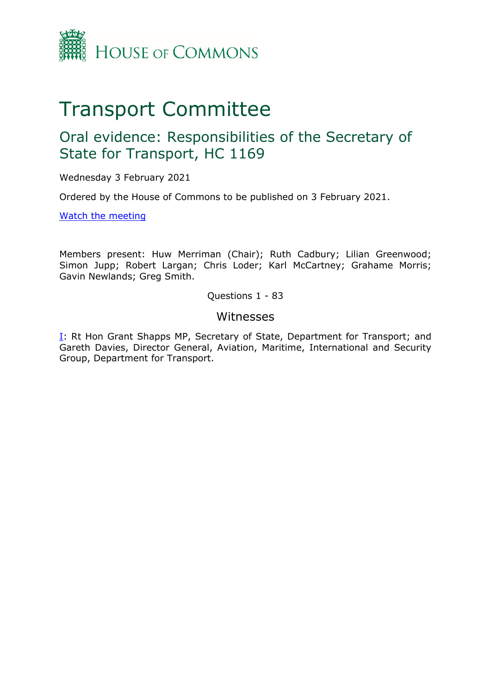

# Transport Committee

## Oral evidence: Responsibilities of the Secretary of State for Transport, HC 1169

Wednesday 3 February 2021

Ordered by the House of Commons to be published on 3 February 2021.

[Watch](https://www.parliamentlive.tv/Event/Index/20fceb87-bc67-4158-98db-dbf8d131e00a#player-tabs) [the](https://www.parliamentlive.tv/Event/Index/20fceb87-bc67-4158-98db-dbf8d131e00a#player-tabs) [meeting](https://www.parliamentlive.tv/Event/Index/20fceb87-bc67-4158-98db-dbf8d131e00a#player-tabs)

Members present: Huw Merriman (Chair); Ruth Cadbury; Lilian Greenwood; Simon Jupp; Robert Largan; Chris Loder; Karl McCartney; Grahame Morris; Gavin Newlands; Greg Smith.

Questions 1 - 83

#### Witnesses

[I:](#page-1-0) Rt Hon Grant Shapps MP, Secretary of State, Department for Transport; and Gareth Davies, Director General, Aviation, Maritime, International and Security Group, Department for Transport.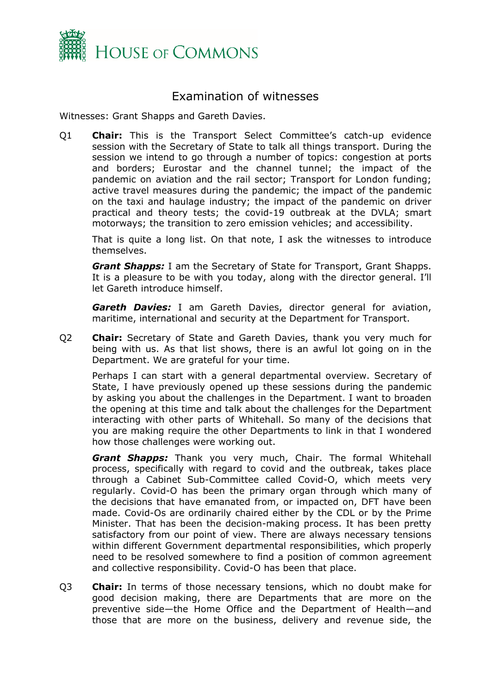

### <span id="page-1-0"></span>Examination of witnesses

Witnesses: Grant Shapps and Gareth Davies.

Q1 **Chair:** This is the Transport Select Committee's catch-up evidence session with the Secretary of State to talk all things transport. During the session we intend to go through a number of topics: congestion at ports and borders; Eurostar and the channel tunnel; the impact of the pandemic on aviation and the rail sector; Transport for London funding; active travel measures during the pandemic; the impact of the pandemic on the taxi and haulage industry; the impact of the pandemic on driver practical and theory tests; the covid-19 outbreak at the DVLA; smart motorways; the transition to zero emission vehicles; and accessibility.

That is quite a long list. On that note, I ask the witnesses to introduce themselves.

*Grant Shapps:* I am the Secretary of State for Transport, Grant Shapps. It is a pleasure to be with you today, along with the director general. I'll let Gareth introduce himself.

*Gareth Davies:* I am Gareth Davies, director general for aviation, maritime, international and security at the Department for Transport.

Q2 **Chair:** Secretary of State and Gareth Davies, thank you very much for being with us. As that list shows, there is an awful lot going on in the Department. We are grateful for your time.

Perhaps I can start with a general departmental overview. Secretary of State, I have previously opened up these sessions during the pandemic by asking you about the challenges in the Department. I want to broaden the opening at this time and talk about the challenges for the Department interacting with other parts of Whitehall. So many of the decisions that you are making require the other Departments to link in that I wondered how those challenges were working out.

*Grant Shapps:* Thank you very much, Chair. The formal Whitehall process, specifically with regard to covid and the outbreak, takes place through a Cabinet Sub-Committee called Covid-O, which meets very regularly. Covid-O has been the primary organ through which many of the decisions that have emanated from, or impacted on, DFT have been made. Covid-Os are ordinarily chaired either by the CDL or by the Prime Minister. That has been the decision-making process. It has been pretty satisfactory from our point of view. There are always necessary tensions within different Government departmental responsibilities, which properly need to be resolved somewhere to find a position of common agreement and collective responsibility. Covid-O has been that place.

Q3 **Chair:** In terms of those necessary tensions, which no doubt make for good decision making, there are Departments that are more on the preventive side—the Home Office and the Department of Health—and those that are more on the business, delivery and revenue side, the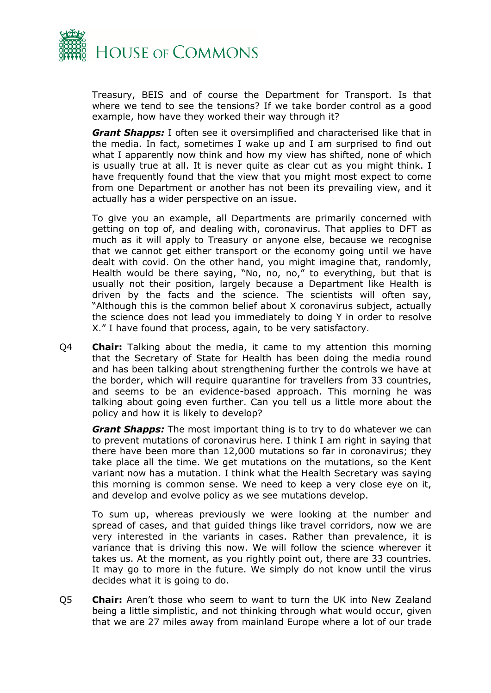

Treasury, BEIS and of course the Department for Transport. Is that where we tend to see the tensions? If we take border control as a good example, how have they worked their way through it?

*Grant Shapps:* I often see it oversimplified and characterised like that in the media. In fact, sometimes I wake up and I am surprised to find out what I apparently now think and how my view has shifted, none of which is usually true at all. It is never quite as clear cut as you might think. I have frequently found that the view that you might most expect to come from one Department or another has not been its prevailing view, and it actually has a wider perspective on an issue.

To give you an example, all Departments are primarily concerned with getting on top of, and dealing with, coronavirus. That applies to DFT as much as it will apply to Treasury or anyone else, because we recognise that we cannot get either transport or the economy going until we have dealt with covid. On the other hand, you might imagine that, randomly, Health would be there saying, "No, no, no," to everything, but that is usually not their position, largely because a Department like Health is driven by the facts and the science. The scientists will often say, "Although this is the common belief about X coronavirus subject, actually the science does not lead you immediately to doing Y in order to resolve X." I have found that process, again, to be very satisfactory.

Q4 **Chair:** Talking about the media, it came to my attention this morning that the Secretary of State for Health has been doing the media round and has been talking about strengthening further the controls we have at the border, which will require quarantine for travellers from 33 countries, and seems to be an evidence-based approach. This morning he was talking about going even further. Can you tell us a little more about the policy and how it is likely to develop?

*Grant Shapps:* The most important thing is to try to do whatever we can to prevent mutations of coronavirus here. I think I am right in saying that there have been more than 12,000 mutations so far in coronavirus; they take place all the time. We get mutations on the mutations, so the Kent variant now has a mutation. I think what the Health Secretary was saying this morning is common sense. We need to keep a very close eye on it, and develop and evolve policy as we see mutations develop.

To sum up, whereas previously we were looking at the number and spread of cases, and that guided things like travel corridors, now we are very interested in the variants in cases. Rather than prevalence, it is variance that is driving this now. We will follow the science wherever it takes us. At the moment, as you rightly point out, there are 33 countries. It may go to more in the future. We simply do not know until the virus decides what it is going to do.

Q5 **Chair:** Aren't those who seem to want to turn the UK into New Zealand being a little simplistic, and not thinking through what would occur, given that we are 27 miles away from mainland Europe where a lot of our trade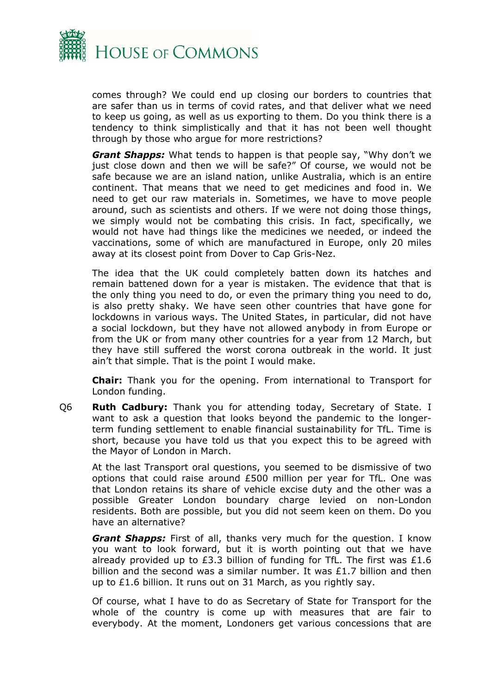

comes through? We could end up closing our borders to countries that are safer than us in terms of covid rates, and that deliver what we need to keep us going, as well as us exporting to them. Do you think there is a tendency to think simplistically and that it has not been well thought through by those who argue for more restrictions?

*Grant Shapps:* What tends to happen is that people say, "Why don't we just close down and then we will be safe?" Of course, we would not be safe because we are an island nation, unlike Australia, which is an entire continent. That means that we need to get medicines and food in. We need to get our raw materials in. Sometimes, we have to move people around, such as scientists and others. If we were not doing those things, we simply would not be combating this crisis. In fact, specifically, we would not have had things like the medicines we needed, or indeed the vaccinations, some of which are manufactured in Europe, only 20 miles away at its closest point from Dover to Cap Gris-Nez.

The idea that the UK could completely batten down its hatches and remain battened down for a year is mistaken. The evidence that that is the only thing you need to do, or even the primary thing you need to do, is also pretty shaky. We have seen other countries that have gone for lockdowns in various ways. The United States, in particular, did not have a social lockdown, but they have not allowed anybody in from Europe or from the UK or from many other countries for a year from 12 March, but they have still suffered the worst corona outbreak in the world. It just ain't that simple. That is the point I would make.

**Chair:** Thank you for the opening. From international to Transport for London funding.

Q6 **Ruth Cadbury:** Thank you for attending today, Secretary of State. I want to ask a question that looks beyond the pandemic to the longerterm funding settlement to enable financial sustainability for TfL. Time is short, because you have told us that you expect this to be agreed with the Mayor of London in March.

At the last Transport oral questions, you seemed to be dismissive of two options that could raise around £500 million per year for TfL. One was that London retains its share of vehicle excise duty and the other was a possible Greater London boundary charge levied on non-London residents. Both are possible, but you did not seem keen on them. Do you have an alternative?

*Grant Shapps:* First of all, thanks very much for the question. I know you want to look forward, but it is worth pointing out that we have already provided up to £3.3 billion of funding for TfL. The first was £1.6 billion and the second was a similar number. It was £1.7 billion and then up to £1.6 billion. It runs out on 31 March, as you rightly say.

Of course, what I have to do as Secretary of State for Transport for the whole of the country is come up with measures that are fair to everybody. At the moment, Londoners get various concessions that are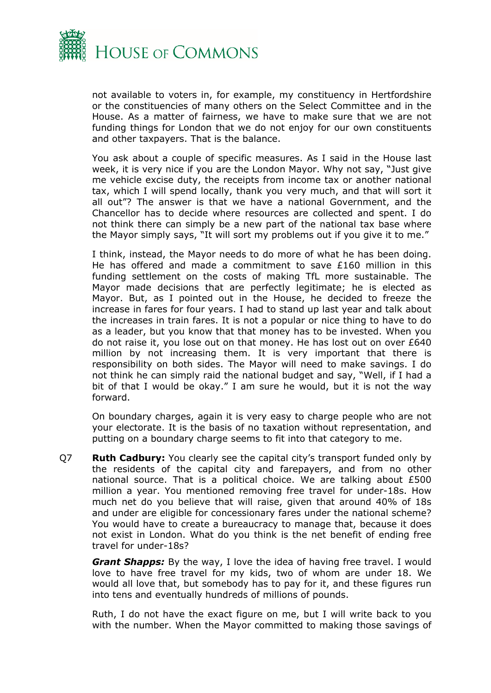

not available to voters in, for example, my constituency in Hertfordshire or the constituencies of many others on the Select Committee and in the House. As a matter of fairness, we have to make sure that we are not funding things for London that we do not enjoy for our own constituents and other taxpayers. That is the balance.

You ask about a couple of specific measures. As I said in the House last week, it is very nice if you are the London Mayor. Why not say, "Just give me vehicle excise duty, the receipts from income tax or another national tax, which I will spend locally, thank you very much, and that will sort it all out"? The answer is that we have a national Government, and the Chancellor has to decide where resources are collected and spent. I do not think there can simply be a new part of the national tax base where the Mayor simply says, "It will sort my problems out if you give it to me."

I think, instead, the Mayor needs to do more of what he has been doing. He has offered and made a commitment to save £160 million in this funding settlement on the costs of making TfL more sustainable. The Mayor made decisions that are perfectly legitimate; he is elected as Mayor. But, as I pointed out in the House, he decided to freeze the increase in fares for four years. I had to stand up last year and talk about the increases in train fares. It is not a popular or nice thing to have to do as a leader, but you know that that money has to be invested. When you do not raise it, you lose out on that money. He has lost out on over £640 million by not increasing them. It is very important that there is responsibility on both sides. The Mayor will need to make savings. I do not think he can simply raid the national budget and say, "Well, if I had a bit of that I would be okay." I am sure he would, but it is not the way forward.

On boundary charges, again it is very easy to charge people who are not your electorate. It is the basis of no taxation without representation, and putting on a boundary charge seems to fit into that category to me.

Q7 **Ruth Cadbury:** You clearly see the capital city's transport funded only by the residents of the capital city and farepayers, and from no other national source. That is a political choice. We are talking about £500 million a year. You mentioned removing free travel for under-18s. How much net do you believe that will raise, given that around 40% of 18s and under are eligible for concessionary fares under the national scheme? You would have to create a bureaucracy to manage that, because it does not exist in London. What do you think is the net benefit of ending free travel for under-18s?

*Grant Shapps:* By the way, I love the idea of having free travel. I would love to have free travel for my kids, two of whom are under 18. We would all love that, but somebody has to pay for it, and these figures run into tens and eventually hundreds of millions of pounds.

Ruth, I do not have the exact figure on me, but I will write back to you with the number. When the Mayor committed to making those savings of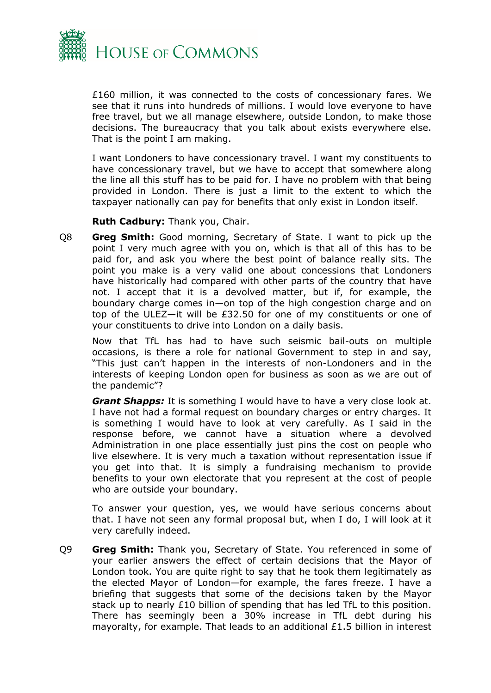

£160 million, it was connected to the costs of concessionary fares. We see that it runs into hundreds of millions. I would love everyone to have free travel, but we all manage elsewhere, outside London, to make those decisions. The bureaucracy that you talk about exists everywhere else. That is the point I am making.

I want Londoners to have concessionary travel. I want my constituents to have concessionary travel, but we have to accept that somewhere along the line all this stuff has to be paid for. I have no problem with that being provided in London. There is just a limit to the extent to which the taxpayer nationally can pay for benefits that only exist in London itself.

**Ruth Cadbury:** Thank you, Chair.

Q8 **Greg Smith:** Good morning, Secretary of State. I want to pick up the point I very much agree with you on, which is that all of this has to be paid for, and ask you where the best point of balance really sits. The point you make is a very valid one about concessions that Londoners have historically had compared with other parts of the country that have not. I accept that it is a devolved matter, but if, for example, the boundary charge comes in—on top of the high congestion charge and on top of the ULEZ—it will be £32.50 for one of my constituents or one of your constituents to drive into London on a daily basis.

Now that TfL has had to have such seismic bail-outs on multiple occasions, is there a role for national Government to step in and say, "This just can't happen in the interests of non-Londoners and in the interests of keeping London open for business as soon as we are out of the pandemic"?

*Grant Shapps:* It is something I would have to have a very close look at. I have not had a formal request on boundary charges or entry charges. It is something I would have to look at very carefully. As I said in the response before, we cannot have a situation where a devolved Administration in one place essentially just pins the cost on people who live elsewhere. It is very much a taxation without representation issue if you get into that. It is simply a fundraising mechanism to provide benefits to your own electorate that you represent at the cost of people who are outside your boundary.

To answer your question, yes, we would have serious concerns about that. I have not seen any formal proposal but, when I do, I will look at it very carefully indeed.

Q9 **Greg Smith:** Thank you, Secretary of State. You referenced in some of your earlier answers the effect of certain decisions that the Mayor of London took. You are quite right to say that he took them legitimately as the elected Mayor of London—for example, the fares freeze. I have a briefing that suggests that some of the decisions taken by the Mayor stack up to nearly £10 billion of spending that has led TfL to this position. There has seemingly been a 30% increase in TfL debt during his mayoralty, for example. That leads to an additional £1.5 billion in interest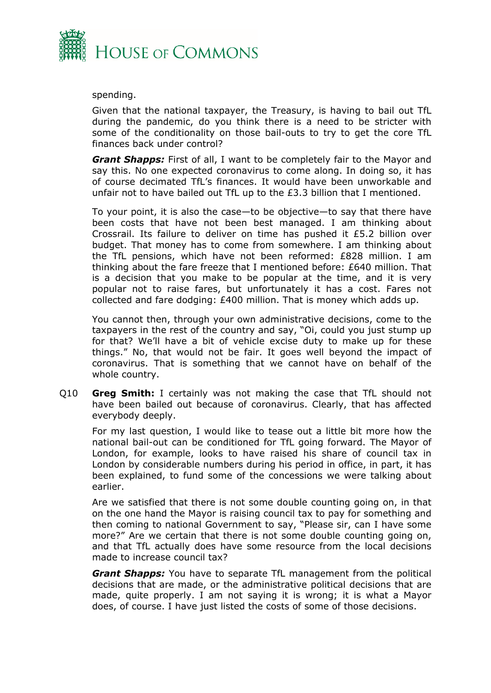

spending.

Given that the national taxpayer, the Treasury, is having to bail out TfL during the pandemic, do you think there is a need to be stricter with some of the conditionality on those bail-outs to try to get the core TfL finances back under control?

*Grant Shapps:* First of all, I want to be completely fair to the Mayor and say this. No one expected coronavirus to come along. In doing so, it has of course decimated TfL's finances. It would have been unworkable and unfair not to have bailed out TfL up to the £3.3 billion that I mentioned.

To your point, it is also the case—to be objective—to say that there have been costs that have not been best managed. I am thinking about Crossrail. Its failure to deliver on time has pushed it £5.2 billion over budget. That money has to come from somewhere. I am thinking about the TfL pensions, which have not been reformed: £828 million. I am thinking about the fare freeze that I mentioned before: £640 million. That is a decision that you make to be popular at the time, and it is very popular not to raise fares, but unfortunately it has a cost. Fares not collected and fare dodging: £400 million. That is money which adds up.

You cannot then, through your own administrative decisions, come to the taxpayers in the rest of the country and say, "Oi, could you just stump up for that? We'll have a bit of vehicle excise duty to make up for these things." No, that would not be fair. It goes well beyond the impact of coronavirus. That is something that we cannot have on behalf of the whole country.

Q10 **Greg Smith:** I certainly was not making the case that TfL should not have been bailed out because of coronavirus. Clearly, that has affected everybody deeply.

For my last question, I would like to tease out a little bit more how the national bail-out can be conditioned for TfL going forward. The Mayor of London, for example, looks to have raised his share of council tax in London by considerable numbers during his period in office, in part, it has been explained, to fund some of the concessions we were talking about earlier.

Are we satisfied that there is not some double counting going on, in that on the one hand the Mayor is raising council tax to pay for something and then coming to national Government to say, "Please sir, can I have some more?" Are we certain that there is not some double counting going on, and that TfL actually does have some resource from the local decisions made to increase council tax?

*Grant Shapps:* You have to separate TfL management from the political decisions that are made, or the administrative political decisions that are made, quite properly. I am not saying it is wrong; it is what a Mayor does, of course. I have just listed the costs of some of those decisions.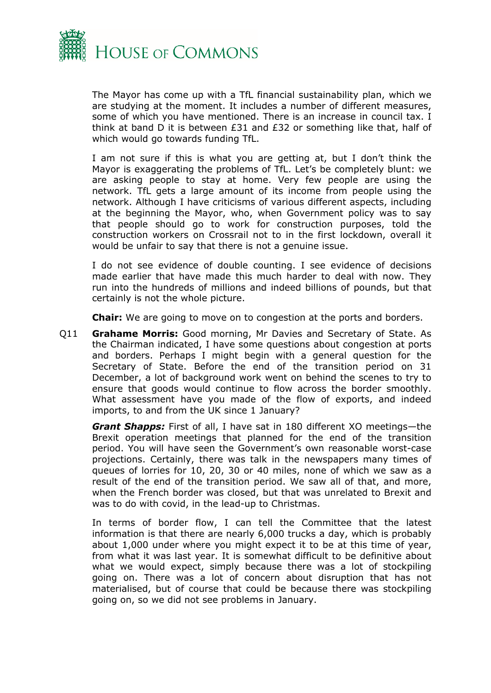

The Mayor has come up with a TfL financial sustainability plan, which we are studying at the moment. It includes a number of different measures, some of which you have mentioned. There is an increase in council tax. I think at band D it is between £31 and £32 or something like that, half of which would go towards funding TfL.

I am not sure if this is what you are getting at, but I don't think the Mayor is exaggerating the problems of TfL. Let's be completely blunt: we are asking people to stay at home. Very few people are using the network. TfL gets a large amount of its income from people using the network. Although I have criticisms of various different aspects, including at the beginning the Mayor, who, when Government policy was to say that people should go to work for construction purposes, told the construction workers on Crossrail not to in the first lockdown, overall it would be unfair to say that there is not a genuine issue.

I do not see evidence of double counting. I see evidence of decisions made earlier that have made this much harder to deal with now. They run into the hundreds of millions and indeed billions of pounds, but that certainly is not the whole picture.

**Chair:** We are going to move on to congestion at the ports and borders.

Q11 **Grahame Morris:** Good morning, Mr Davies and Secretary of State. As the Chairman indicated, I have some questions about congestion at ports and borders. Perhaps I might begin with a general question for the Secretary of State. Before the end of the transition period on 31 December, a lot of background work went on behind the scenes to try to ensure that goods would continue to flow across the border smoothly. What assessment have you made of the flow of exports, and indeed imports, to and from the UK since 1 January?

*Grant Shapps:* First of all, I have sat in 180 different XO meetings—the Brexit operation meetings that planned for the end of the transition period. You will have seen the Government's own reasonable worst-case projections. Certainly, there was talk in the newspapers many times of queues of lorries for 10, 20, 30 or 40 miles, none of which we saw as a result of the end of the transition period. We saw all of that, and more, when the French border was closed, but that was unrelated to Brexit and was to do with covid, in the lead-up to Christmas.

In terms of border flow, I can tell the Committee that the latest information is that there are nearly 6,000 trucks a day, which is probably about 1,000 under where you might expect it to be at this time of year, from what it was last year. It is somewhat difficult to be definitive about what we would expect, simply because there was a lot of stockpiling going on. There was a lot of concern about disruption that has not materialised, but of course that could be because there was stockpiling going on, so we did not see problems in January.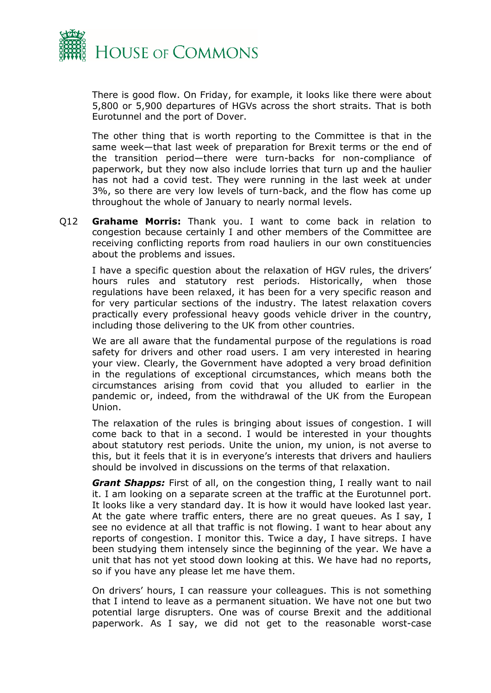

There is good flow. On Friday, for example, it looks like there were about 5,800 or 5,900 departures of HGVs across the short straits. That is both Eurotunnel and the port of Dover.

The other thing that is worth reporting to the Committee is that in the same week—that last week of preparation for Brexit terms or the end of the transition period—there were turn-backs for non-compliance of paperwork, but they now also include lorries that turn up and the haulier has not had a covid test. They were running in the last week at under 3%, so there are very low levels of turn-back, and the flow has come up throughout the whole of January to nearly normal levels.

Q12 **Grahame Morris:** Thank you. I want to come back in relation to congestion because certainly I and other members of the Committee are receiving conflicting reports from road hauliers in our own constituencies about the problems and issues.

I have a specific question about the relaxation of HGV rules, the drivers' hours rules and statutory rest periods. Historically, when those regulations have been relaxed, it has been for a very specific reason and for very particular sections of the industry. The latest relaxation covers practically every professional heavy goods vehicle driver in the country, including those delivering to the UK from other countries.

We are all aware that the fundamental purpose of the regulations is road safety for drivers and other road users. I am very interested in hearing your view. Clearly, the Government have adopted a very broad definition in the regulations of exceptional circumstances, which means both the circumstances arising from covid that you alluded to earlier in the pandemic or, indeed, from the withdrawal of the UK from the European Union.

The relaxation of the rules is bringing about issues of congestion. I will come back to that in a second. I would be interested in your thoughts about statutory rest periods. Unite the union, my union, is not averse to this, but it feels that it is in everyone's interests that drivers and hauliers should be involved in discussions on the terms of that relaxation.

*Grant Shapps:* First of all, on the congestion thing, I really want to nail it. I am looking on a separate screen at the traffic at the Eurotunnel port. It looks like a very standard day. It is how it would have looked last year. At the gate where traffic enters, there are no great queues. As I say, I see no evidence at all that traffic is not flowing. I want to hear about any reports of congestion. I monitor this. Twice a day, I have sitreps. I have been studying them intensely since the beginning of the year. We have a unit that has not yet stood down looking at this. We have had no reports, so if you have any please let me have them.

On drivers' hours, I can reassure your colleagues. This is not something that I intend to leave as a permanent situation. We have not one but two potential large disrupters. One was of course Brexit and the additional paperwork. As I say, we did not get to the reasonable worst-case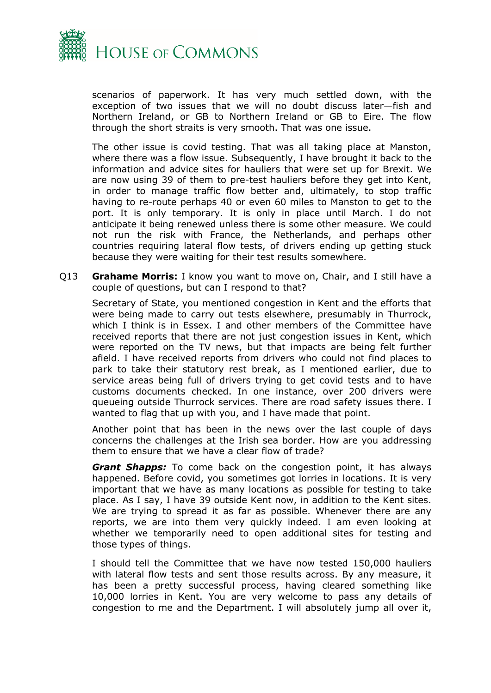

scenarios of paperwork. It has very much settled down, with the exception of two issues that we will no doubt discuss later—fish and Northern Ireland, or GB to Northern Ireland or GB to Eire. The flow through the short straits is very smooth. That was one issue.

The other issue is covid testing. That was all taking place at Manston, where there was a flow issue. Subsequently, I have brought it back to the information and advice sites for hauliers that were set up for Brexit. We are now using 39 of them to pre-test hauliers before they get into Kent, in order to manage traffic flow better and, ultimately, to stop traffic having to re-route perhaps 40 or even 60 miles to Manston to get to the port. It is only temporary. It is only in place until March. I do not anticipate it being renewed unless there is some other measure. We could not run the risk with France, the Netherlands, and perhaps other countries requiring lateral flow tests, of drivers ending up getting stuck because they were waiting for their test results somewhere.

Q13 **Grahame Morris:** I know you want to move on, Chair, and I still have a couple of questions, but can I respond to that?

Secretary of State, you mentioned congestion in Kent and the efforts that were being made to carry out tests elsewhere, presumably in Thurrock, which I think is in Essex. I and other members of the Committee have received reports that there are not just congestion issues in Kent, which were reported on the TV news, but that impacts are being felt further afield. I have received reports from drivers who could not find places to park to take their statutory rest break, as I mentioned earlier, due to service areas being full of drivers trying to get covid tests and to have customs documents checked. In one instance, over 200 drivers were queueing outside Thurrock services. There are road safety issues there. I wanted to flag that up with you, and I have made that point.

Another point that has been in the news over the last couple of days concerns the challenges at the Irish sea border. How are you addressing them to ensure that we have a clear flow of trade?

*Grant Shapps:* To come back on the congestion point, it has always happened. Before covid, you sometimes got lorries in locations. It is very important that we have as many locations as possible for testing to take place. As I say, I have 39 outside Kent now, in addition to the Kent sites. We are trying to spread it as far as possible. Whenever there are any reports, we are into them very quickly indeed. I am even looking at whether we temporarily need to open additional sites for testing and those types of things.

I should tell the Committee that we have now tested 150,000 hauliers with lateral flow tests and sent those results across. By any measure, it has been a pretty successful process, having cleared something like 10,000 lorries in Kent. You are very welcome to pass any details of congestion to me and the Department. I will absolutely jump all over it,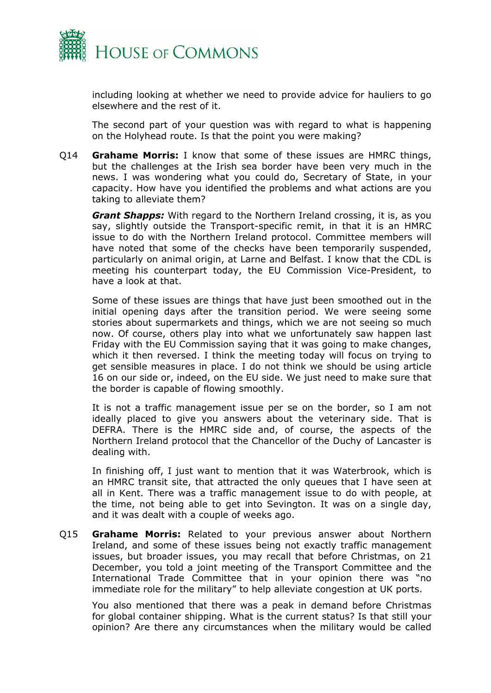

including looking at whether we need to provide advice for hauliers to go elsewhere and the rest of it.

The second part of your question was with regard to what is happening on the Holyhead route. Is that the point you were making?

Q14 **Grahame Morris:** I know that some of these issues are HMRC things, but the challenges at the Irish sea border have been very much in the news. I was wondering what you could do, Secretary of State, in your capacity. How have you identified the problems and what actions are you taking to alleviate them?

*Grant Shapps:* With regard to the Northern Ireland crossing, it is, as you say, slightly outside the Transport-specific remit, in that it is an HMRC issue to do with the Northern Ireland protocol. Committee members will have noted that some of the checks have been temporarily suspended, particularly on animal origin, at Larne and Belfast. I know that the CDL is meeting his counterpart today, the EU Commission Vice-President, to have a look at that.

Some of these issues are things that have just been smoothed out in the initial opening days after the transition period. We were seeing some stories about supermarkets and things, which we are not seeing so much now. Of course, others play into what we unfortunately saw happen last Friday with the EU Commission saying that it was going to make changes, which it then reversed. I think the meeting today will focus on trying to get sensible measures in place. I do not think we should be using article 16 on our side or, indeed, on the EU side. We just need to make sure that the border is capable of flowing smoothly.

It is not a traffic management issue per se on the border, so I am not ideally placed to give you answers about the veterinary side. That is DEFRA. There is the HMRC side and, of course, the aspects of the Northern Ireland protocol that the Chancellor of the Duchy of Lancaster is dealing with.

In finishing off, I just want to mention that it was Waterbrook, which is an HMRC transit site, that attracted the only queues that I have seen at all in Kent. There was a traffic management issue to do with people, at the time, not being able to get into Sevington. It was on a single day, and it was dealt with a couple of weeks ago.

Q15 **Grahame Morris:** Related to your previous answer about Northern Ireland, and some of these issues being not exactly traffic management issues, but broader issues, you may recall that before Christmas, on 21 December, you told a joint meeting of the Transport Committee and the International Trade Committee that in your opinion there was "no immediate role for the military" to help alleviate congestion at UK ports.

You also mentioned that there was a peak in demand before Christmas for global container shipping. What is the current status? Is that still your opinion? Are there any circumstances when the military would be called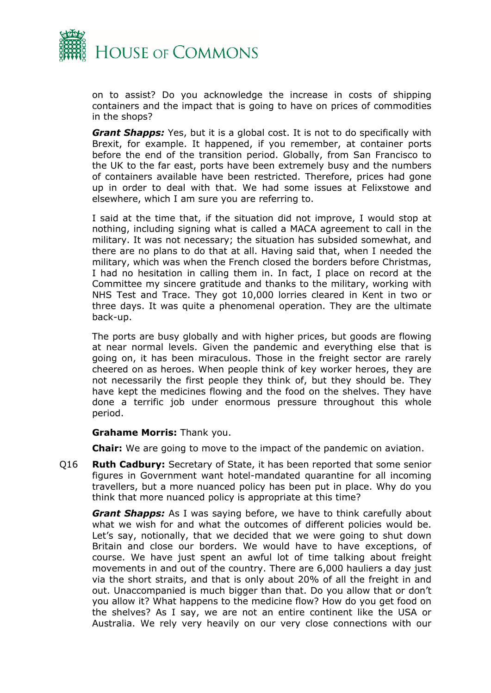

on to assist? Do you acknowledge the increase in costs of shipping containers and the impact that is going to have on prices of commodities in the shops?

*Grant Shapps:* Yes, but it is a global cost. It is not to do specifically with Brexit, for example. It happened, if you remember, at container ports before the end of the transition period. Globally, from San Francisco to the UK to the far east, ports have been extremely busy and the numbers of containers available have been restricted. Therefore, prices had gone up in order to deal with that. We had some issues at Felixstowe and elsewhere, which I am sure you are referring to.

I said at the time that, if the situation did not improve, I would stop at nothing, including signing what is called a MACA agreement to call in the military. It was not necessary; the situation has subsided somewhat, and there are no plans to do that at all. Having said that, when I needed the military, which was when the French closed the borders before Christmas, I had no hesitation in calling them in. In fact, I place on record at the Committee my sincere gratitude and thanks to the military, working with NHS Test and Trace. They got 10,000 lorries cleared in Kent in two or three days. It was quite a phenomenal operation. They are the ultimate back-up.

The ports are busy globally and with higher prices, but goods are flowing at near normal levels. Given the pandemic and everything else that is going on, it has been miraculous. Those in the freight sector are rarely cheered on as heroes. When people think of key worker heroes, they are not necessarily the first people they think of, but they should be. They have kept the medicines flowing and the food on the shelves. They have done a terrific job under enormous pressure throughout this whole period.

#### **Grahame Morris:** Thank you.

**Chair:** We are going to move to the impact of the pandemic on aviation.

Q16 **Ruth Cadbury:** Secretary of State, it has been reported that some senior figures in Government want hotel-mandated quarantine for all incoming travellers, but a more nuanced policy has been put in place. Why do you think that more nuanced policy is appropriate at this time?

*Grant Shapps:* As I was saying before, we have to think carefully about what we wish for and what the outcomes of different policies would be. Let's say, notionally, that we decided that we were going to shut down Britain and close our borders. We would have to have exceptions, of course. We have just spent an awful lot of time talking about freight movements in and out of the country. There are 6,000 hauliers a day just via the short straits, and that is only about 20% of all the freight in and out. Unaccompanied is much bigger than that. Do you allow that or don't you allow it? What happens to the medicine flow? How do you get food on the shelves? As I say, we are not an entire continent like the USA or Australia. We rely very heavily on our very close connections with our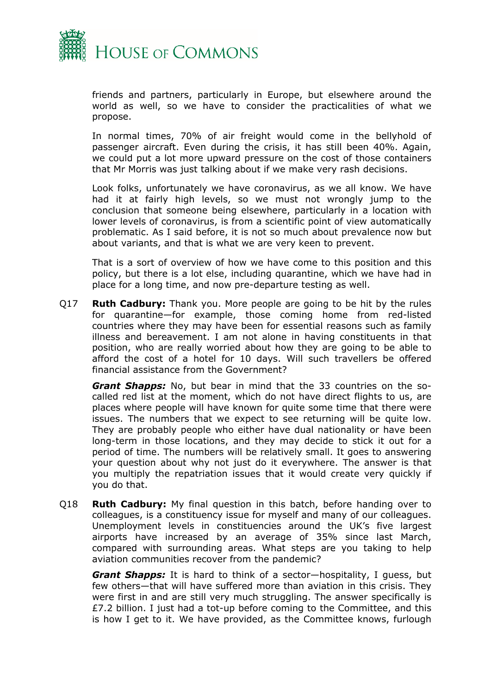

friends and partners, particularly in Europe, but elsewhere around the world as well, so we have to consider the practicalities of what we propose.

In normal times, 70% of air freight would come in the bellyhold of passenger aircraft. Even during the crisis, it has still been 40%. Again, we could put a lot more upward pressure on the cost of those containers that Mr Morris was just talking about if we make very rash decisions.

Look folks, unfortunately we have coronavirus, as we all know. We have had it at fairly high levels, so we must not wrongly jump to the conclusion that someone being elsewhere, particularly in a location with lower levels of coronavirus, is from a scientific point of view automatically problematic. As I said before, it is not so much about prevalence now but about variants, and that is what we are very keen to prevent.

That is a sort of overview of how we have come to this position and this policy, but there is a lot else, including quarantine, which we have had in place for a long time, and now pre-departure testing as well.

Q17 **Ruth Cadbury:** Thank you. More people are going to be hit by the rules for quarantine—for example, those coming home from red-listed countries where they may have been for essential reasons such as family illness and bereavement. I am not alone in having constituents in that position, who are really worried about how they are going to be able to afford the cost of a hotel for 10 days. Will such travellers be offered financial assistance from the Government?

*Grant Shapps:* No, but bear in mind that the 33 countries on the socalled red list at the moment, which do not have direct flights to us, are places where people will have known for quite some time that there were issues. The numbers that we expect to see returning will be quite low. They are probably people who either have dual nationality or have been long-term in those locations, and they may decide to stick it out for a period of time. The numbers will be relatively small. It goes to answering your question about why not just do it everywhere. The answer is that you multiply the repatriation issues that it would create very quickly if you do that.

Q18 **Ruth Cadbury:** My final question in this batch, before handing over to colleagues, is a constituency issue for myself and many of our colleagues. Unemployment levels in constituencies around the UK's five largest airports have increased by an average of 35% since last March, compared with surrounding areas. What steps are you taking to help aviation communities recover from the pandemic?

*Grant Shapps:* It is hard to think of a sector—hospitality, I guess, but few others—that will have suffered more than aviation in this crisis. They were first in and are still very much struggling. The answer specifically is £7.2 billion. I just had a tot-up before coming to the Committee, and this is how I get to it. We have provided, as the Committee knows, furlough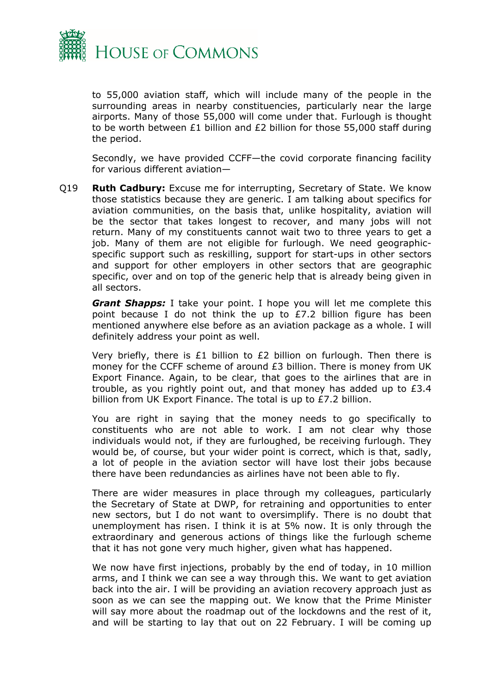

to 55,000 aviation staff, which will include many of the people in the surrounding areas in nearby constituencies, particularly near the large airports. Many of those 55,000 will come under that. Furlough is thought to be worth between £1 billion and £2 billion for those 55,000 staff during the period.

Secondly, we have provided CCFF—the covid corporate financing facility for various different aviation—

Q19 **Ruth Cadbury:** Excuse me for interrupting, Secretary of State. We know those statistics because they are generic. I am talking about specifics for aviation communities, on the basis that, unlike hospitality, aviation will be the sector that takes longest to recover, and many jobs will not return. Many of my constituents cannot wait two to three years to get a job. Many of them are not eligible for furlough. We need geographicspecific support such as reskilling, support for start-ups in other sectors and support for other employers in other sectors that are geographic specific, over and on top of the generic help that is already being given in all sectors.

*Grant Shapps:* I take your point. I hope you will let me complete this point because I do not think the up to £7.2 billion figure has been mentioned anywhere else before as an aviation package as a whole. I will definitely address your point as well.

Very briefly, there is £1 billion to £2 billion on furlough. Then there is money for the CCFF scheme of around £3 billion. There is money from UK Export Finance. Again, to be clear, that goes to the airlines that are in trouble, as you rightly point out, and that money has added up to £3.4 billion from UK Export Finance. The total is up to £7.2 billion.

You are right in saying that the money needs to go specifically to constituents who are not able to work. I am not clear why those individuals would not, if they are furloughed, be receiving furlough. They would be, of course, but your wider point is correct, which is that, sadly, a lot of people in the aviation sector will have lost their jobs because there have been redundancies as airlines have not been able to fly.

There are wider measures in place through my colleagues, particularly the Secretary of State at DWP, for retraining and opportunities to enter new sectors, but I do not want to oversimplify. There is no doubt that unemployment has risen. I think it is at 5% now. It is only through the extraordinary and generous actions of things like the furlough scheme that it has not gone very much higher, given what has happened.

We now have first injections, probably by the end of today, in 10 million arms, and I think we can see a way through this. We want to get aviation back into the air. I will be providing an aviation recovery approach just as soon as we can see the mapping out. We know that the Prime Minister will say more about the roadmap out of the lockdowns and the rest of it, and will be starting to lay that out on 22 February. I will be coming up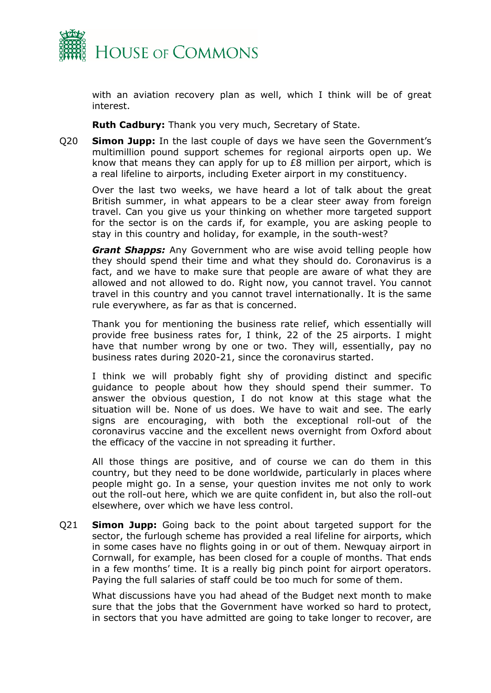

with an aviation recovery plan as well, which I think will be of great interest.

**Ruth Cadbury:** Thank you very much, Secretary of State.

Q20 **Simon Jupp:** In the last couple of days we have seen the Government's multimillion pound support schemes for regional airports open up. We know that means they can apply for up to £8 million per airport, which is a real lifeline to airports, including Exeter airport in my constituency.

Over the last two weeks, we have heard a lot of talk about the great British summer, in what appears to be a clear steer away from foreign travel. Can you give us your thinking on whether more targeted support for the sector is on the cards if, for example, you are asking people to stay in this country and holiday, for example, in the south-west?

*Grant Shapps:* Any Government who are wise avoid telling people how they should spend their time and what they should do. Coronavirus is a fact, and we have to make sure that people are aware of what they are allowed and not allowed to do. Right now, you cannot travel. You cannot travel in this country and you cannot travel internationally. It is the same rule everywhere, as far as that is concerned.

Thank you for mentioning the business rate relief, which essentially will provide free business rates for, I think, 22 of the 25 airports. I might have that number wrong by one or two. They will, essentially, pay no business rates during 2020-21, since the coronavirus started.

I think we will probably fight shy of providing distinct and specific guidance to people about how they should spend their summer. To answer the obvious question, I do not know at this stage what the situation will be. None of us does. We have to wait and see. The early signs are encouraging, with both the exceptional roll-out of the coronavirus vaccine and the excellent news overnight from Oxford about the efficacy of the vaccine in not spreading it further.

All those things are positive, and of course we can do them in this country, but they need to be done worldwide, particularly in places where people might go. In a sense, your question invites me not only to work out the roll-out here, which we are quite confident in, but also the roll-out elsewhere, over which we have less control.

Q21 **Simon Jupp:** Going back to the point about targeted support for the sector, the furlough scheme has provided a real lifeline for airports, which in some cases have no flights going in or out of them. Newquay airport in Cornwall, for example, has been closed for a couple of months. That ends in a few months' time. It is a really big pinch point for airport operators. Paying the full salaries of staff could be too much for some of them.

What discussions have you had ahead of the Budget next month to make sure that the jobs that the Government have worked so hard to protect, in sectors that you have admitted are going to take longer to recover, are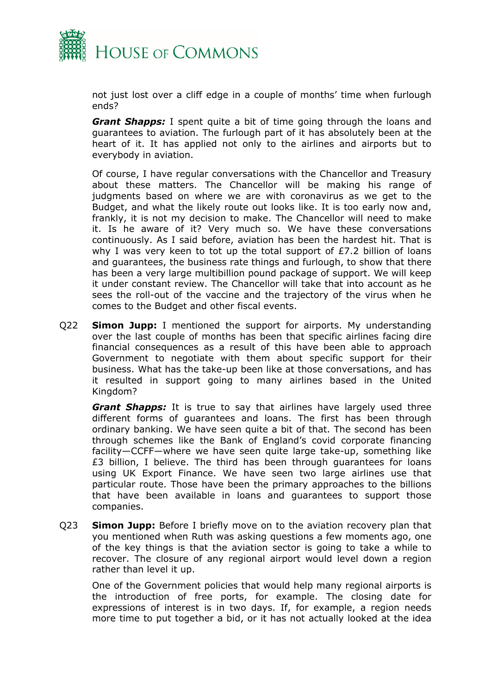

not just lost over a cliff edge in a couple of months' time when furlough ends?

*Grant Shapps:* I spent quite a bit of time going through the loans and guarantees to aviation. The furlough part of it has absolutely been at the heart of it. It has applied not only to the airlines and airports but to everybody in aviation.

Of course, I have regular conversations with the Chancellor and Treasury about these matters. The Chancellor will be making his range of judgments based on where we are with coronavirus as we get to the Budget, and what the likely route out looks like. It is too early now and, frankly, it is not my decision to make. The Chancellor will need to make it. Is he aware of it? Very much so. We have these conversations continuously. As I said before, aviation has been the hardest hit. That is why I was very keen to tot up the total support of £7.2 billion of loans and guarantees, the business rate things and furlough, to show that there has been a very large multibillion pound package of support. We will keep it under constant review. The Chancellor will take that into account as he sees the roll-out of the vaccine and the trajectory of the virus when he comes to the Budget and other fiscal events.

Q22 **Simon Jupp:** I mentioned the support for airports. My understanding over the last couple of months has been that specific airlines facing dire financial consequences as a result of this have been able to approach Government to negotiate with them about specific support for their business. What has the take-up been like at those conversations, and has it resulted in support going to many airlines based in the United Kingdom?

*Grant Shapps:* It is true to say that airlines have largely used three different forms of guarantees and loans. The first has been through ordinary banking. We have seen quite a bit of that. The second has been through schemes like the Bank of England's covid corporate financing facility—CCFF—where we have seen quite large take-up, something like £3 billion, I believe. The third has been through guarantees for loans using UK Export Finance. We have seen two large airlines use that particular route. Those have been the primary approaches to the billions that have been available in loans and guarantees to support those companies.

Q23 **Simon Jupp:** Before I briefly move on to the aviation recovery plan that you mentioned when Ruth was asking questions a few moments ago, one of the key things is that the aviation sector is going to take a while to recover. The closure of any regional airport would level down a region rather than level it up.

One of the Government policies that would help many regional airports is the introduction of free ports, for example. The closing date for expressions of interest is in two days. If, for example, a region needs more time to put together a bid, or it has not actually looked at the idea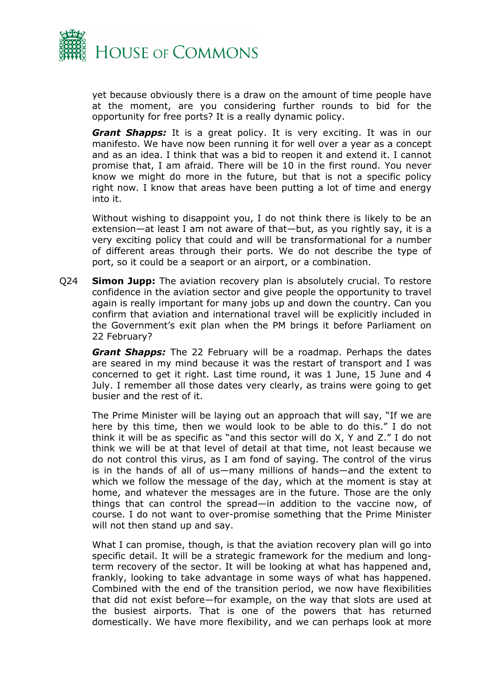

yet because obviously there is a draw on the amount of time people have at the moment, are you considering further rounds to bid for the opportunity for free ports? It is a really dynamic policy.

*Grant Shapps:* It is a great policy. It is very exciting. It was in our manifesto. We have now been running it for well over a year as a concept and as an idea. I think that was a bid to reopen it and extend it. I cannot promise that, I am afraid. There will be 10 in the first round. You never know we might do more in the future, but that is not a specific policy right now. I know that areas have been putting a lot of time and energy into it.

Without wishing to disappoint you, I do not think there is likely to be an extension—at least I am not aware of that—but, as you rightly say, it is a very exciting policy that could and will be transformational for a number of different areas through their ports. We do not describe the type of port, so it could be a seaport or an airport, or a combination.

Q24 **Simon Jupp:** The aviation recovery plan is absolutely crucial. To restore confidence in the aviation sector and give people the opportunity to travel again is really important for many jobs up and down the country. Can you confirm that aviation and international travel will be explicitly included in the Government's exit plan when the PM brings it before Parliament on 22 February?

*Grant Shapps:* The 22 February will be a roadmap. Perhaps the dates are seared in my mind because it was the restart of transport and I was concerned to get it right. Last time round, it was 1 June, 15 June and 4 July. I remember all those dates very clearly, as trains were going to get busier and the rest of it.

The Prime Minister will be laying out an approach that will say, "If we are here by this time, then we would look to be able to do this." I do not think it will be as specific as "and this sector will do X, Y and Z." I do not think we will be at that level of detail at that time, not least because we do not control this virus, as I am fond of saying. The control of the virus is in the hands of all of us—many millions of hands—and the extent to which we follow the message of the day, which at the moment is stay at home, and whatever the messages are in the future. Those are the only things that can control the spread—in addition to the vaccine now, of course. I do not want to over-promise something that the Prime Minister will not then stand up and say.

What I can promise, though, is that the aviation recovery plan will go into specific detail. It will be a strategic framework for the medium and longterm recovery of the sector. It will be looking at what has happened and, frankly, looking to take advantage in some ways of what has happened. Combined with the end of the transition period, we now have flexibilities that did not exist before—for example, on the way that slots are used at the busiest airports. That is one of the powers that has returned domestically. We have more flexibility, and we can perhaps look at more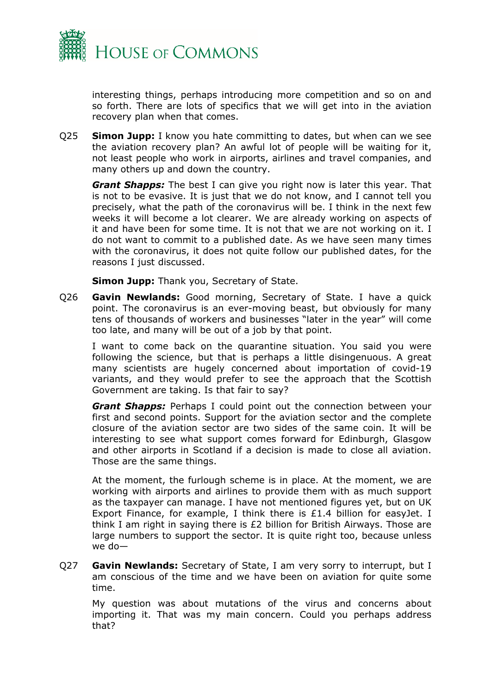

interesting things, perhaps introducing more competition and so on and so forth. There are lots of specifics that we will get into in the aviation recovery plan when that comes.

Q25 **Simon Jupp:** I know you hate committing to dates, but when can we see the aviation recovery plan? An awful lot of people will be waiting for it, not least people who work in airports, airlines and travel companies, and many others up and down the country.

*Grant Shapps:* The best I can give you right now is later this year. That is not to be evasive. It is just that we do not know, and I cannot tell you precisely, what the path of the coronavirus will be. I think in the next few weeks it will become a lot clearer. We are already working on aspects of it and have been for some time. It is not that we are not working on it. I do not want to commit to a published date. As we have seen many times with the coronavirus, it does not quite follow our published dates, for the reasons I just discussed.

**Simon Jupp:** Thank you, Secretary of State.

Q26 **Gavin Newlands:** Good morning, Secretary of State. I have a quick point. The coronavirus is an ever-moving beast, but obviously for many tens of thousands of workers and businesses "later in the year" will come too late, and many will be out of a job by that point.

I want to come back on the quarantine situation. You said you were following the science, but that is perhaps a little disingenuous. A great many scientists are hugely concerned about importation of covid-19 variants, and they would prefer to see the approach that the Scottish Government are taking. Is that fair to say?

*Grant Shapps:* Perhaps I could point out the connection between your first and second points. Support for the aviation sector and the complete closure of the aviation sector are two sides of the same coin. It will be interesting to see what support comes forward for Edinburgh, Glasgow and other airports in Scotland if a decision is made to close all aviation. Those are the same things.

At the moment, the furlough scheme is in place. At the moment, we are working with airports and airlines to provide them with as much support as the taxpayer can manage. I have not mentioned figures yet, but on UK Export Finance, for example, I think there is £1.4 billion for easyJet. I think I am right in saying there is £2 billion for British Airways. Those are large numbers to support the sector. It is quite right too, because unless we do—

Q27 **Gavin Newlands:** Secretary of State, I am very sorry to interrupt, but I am conscious of the time and we have been on aviation for quite some time.

My question was about mutations of the virus and concerns about importing it. That was my main concern. Could you perhaps address that?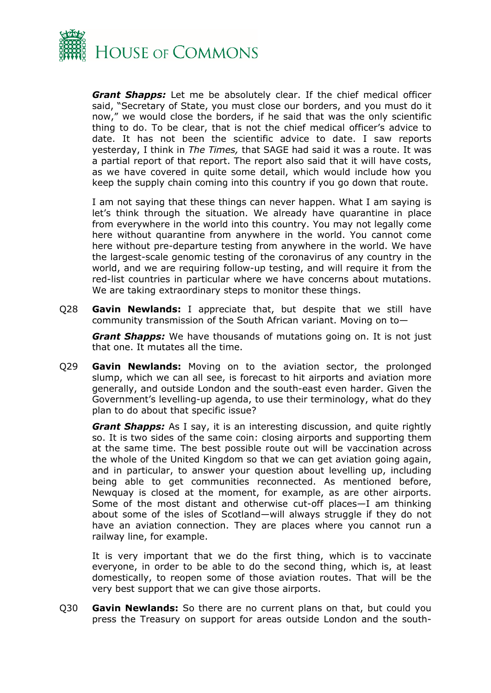

*Grant Shapps:* Let me be absolutely clear. If the chief medical officer said, "Secretary of State, you must close our borders, and you must do it now," we would close the borders, if he said that was the only scientific thing to do. To be clear, that is not the chief medical officer's advice to date. It has not been the scientific advice to date. I saw reports yesterday, I think in *The Times,* that SAGE had said it was a route. It was a partial report of that report. The report also said that it will have costs, as we have covered in quite some detail, which would include how you keep the supply chain coming into this country if you go down that route.

I am not saying that these things can never happen. What I am saying is let's think through the situation. We already have quarantine in place from everywhere in the world into this country. You may not legally come here without quarantine from anywhere in the world. You cannot come here without pre-departure testing from anywhere in the world. We have the largest-scale genomic testing of the coronavirus of any country in the world, and we are requiring follow-up testing, and will require it from the red-list countries in particular where we have concerns about mutations. We are taking extraordinary steps to monitor these things.

Q28 **Gavin Newlands:** I appreciate that, but despite that we still have community transmission of the South African variant. Moving on to—

*Grant Shapps:* We have thousands of mutations going on. It is not just that one. It mutates all the time.

Q29 **Gavin Newlands:** Moving on to the aviation sector, the prolonged slump, which we can all see, is forecast to hit airports and aviation more generally, and outside London and the south-east even harder. Given the Government's levelling-up agenda, to use their terminology, what do they plan to do about that specific issue?

*Grant Shapps:* As I say, it is an interesting discussion, and quite rightly so. It is two sides of the same coin: closing airports and supporting them at the same time. The best possible route out will be vaccination across the whole of the United Kingdom so that we can get aviation going again, and in particular, to answer your question about levelling up, including being able to get communities reconnected. As mentioned before, Newquay is closed at the moment, for example, as are other airports. Some of the most distant and otherwise cut-off places—I am thinking about some of the isles of Scotland—will always struggle if they do not have an aviation connection. They are places where you cannot run a railway line, for example.

It is very important that we do the first thing, which is to vaccinate everyone, in order to be able to do the second thing, which is, at least domestically, to reopen some of those aviation routes. That will be the very best support that we can give those airports.

Q30 **Gavin Newlands:** So there are no current plans on that, but could you press the Treasury on support for areas outside London and the south-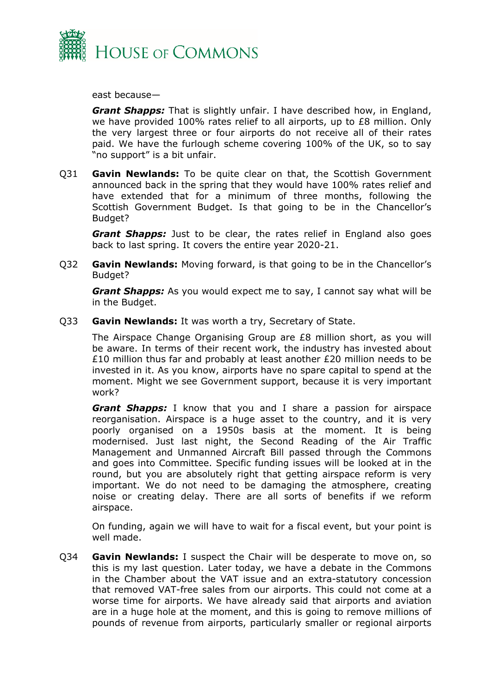

east because—

*Grant Shapps:* That is slightly unfair. I have described how, in England, we have provided 100% rates relief to all airports, up to  $E8$  million. Only the very largest three or four airports do not receive all of their rates paid. We have the furlough scheme covering 100% of the UK, so to say "no support" is a bit unfair.

Q31 **Gavin Newlands:** To be quite clear on that, the Scottish Government announced back in the spring that they would have 100% rates relief and have extended that for a minimum of three months, following the Scottish Government Budget. Is that going to be in the Chancellor's Budget?

*Grant Shapps:* Just to be clear, the rates relief in England also goes back to last spring. It covers the entire year 2020-21.

Q32 **Gavin Newlands:** Moving forward, is that going to be in the Chancellor's Budget?

*Grant Shapps:* As you would expect me to say, I cannot say what will be in the Budget.

Q33 **Gavin Newlands:** It was worth a try, Secretary of State.

The Airspace Change Organising Group are £8 million short, as you will be aware. In terms of their recent work, the industry has invested about £10 million thus far and probably at least another £20 million needs to be invested in it. As you know, airports have no spare capital to spend at the moment. Might we see Government support, because it is very important work?

*Grant Shapps:* I know that you and I share a passion for airspace reorganisation. Airspace is a huge asset to the country, and it is very poorly organised on a 1950s basis at the moment. It is being modernised. Just last night, the Second Reading of the Air Traffic Management and Unmanned Aircraft Bill passed through the Commons and goes into Committee. Specific funding issues will be looked at in the round, but you are absolutely right that getting airspace reform is very important. We do not need to be damaging the atmosphere, creating noise or creating delay. There are all sorts of benefits if we reform airspace.

On funding, again we will have to wait for a fiscal event, but your point is well made.

Q34 **Gavin Newlands:** I suspect the Chair will be desperate to move on, so this is my last question. Later today, we have a debate in the Commons in the Chamber about the VAT issue and an extra-statutory concession that removed VAT-free sales from our airports. This could not come at a worse time for airports. We have already said that airports and aviation are in a huge hole at the moment, and this is going to remove millions of pounds of revenue from airports, particularly smaller or regional airports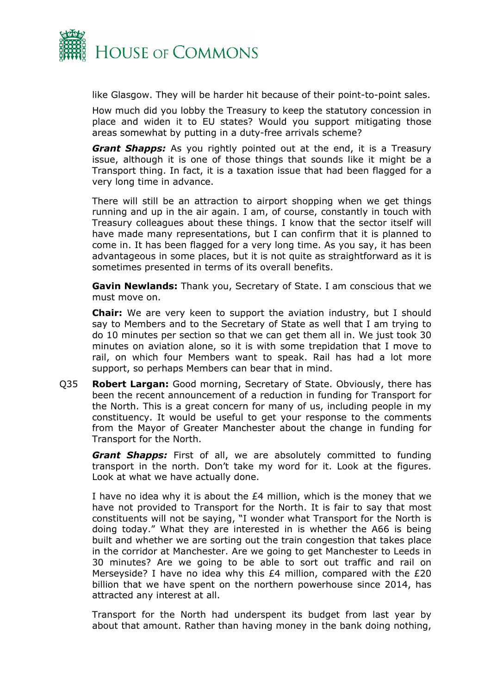

like Glasgow. They will be harder hit because of their point-to-point sales.

How much did you lobby the Treasury to keep the statutory concession in place and widen it to EU states? Would you support mitigating those areas somewhat by putting in a duty-free arrivals scheme?

*Grant Shapps:* As you rightly pointed out at the end, it is a Treasury issue, although it is one of those things that sounds like it might be a Transport thing. In fact, it is a taxation issue that had been flagged for a very long time in advance.

There will still be an attraction to airport shopping when we get things running and up in the air again. I am, of course, constantly in touch with Treasury colleagues about these things. I know that the sector itself will have made many representations, but I can confirm that it is planned to come in. It has been flagged for a very long time. As you say, it has been advantageous in some places, but it is not quite as straightforward as it is sometimes presented in terms of its overall benefits.

**Gavin Newlands:** Thank you, Secretary of State. I am conscious that we must move on.

**Chair:** We are very keen to support the aviation industry, but I should say to Members and to the Secretary of State as well that I am trying to do 10 minutes per section so that we can get them all in. We just took 30 minutes on aviation alone, so it is with some trepidation that I move to rail, on which four Members want to speak. Rail has had a lot more support, so perhaps Members can bear that in mind.

Q35 **Robert Largan:** Good morning, Secretary of State. Obviously, there has been the recent announcement of a reduction in funding for Transport for the North. This is a great concern for many of us, including people in my constituency. It would be useful to get your response to the comments from the Mayor of Greater Manchester about the change in funding for Transport for the North.

*Grant Shapps:* First of all, we are absolutely committed to funding transport in the north. Don't take my word for it. Look at the figures. Look at what we have actually done.

I have no idea why it is about the £4 million, which is the money that we have not provided to Transport for the North. It is fair to say that most constituents will not be saying, "I wonder what Transport for the North is doing today." What they are interested in is whether the A66 is being built and whether we are sorting out the train congestion that takes place in the corridor at Manchester. Are we going to get Manchester to Leeds in 30 minutes? Are we going to be able to sort out traffic and rail on Merseyside? I have no idea why this £4 million, compared with the £20 billion that we have spent on the northern powerhouse since 2014, has attracted any interest at all.

Transport for the North had underspent its budget from last year by about that amount. Rather than having money in the bank doing nothing,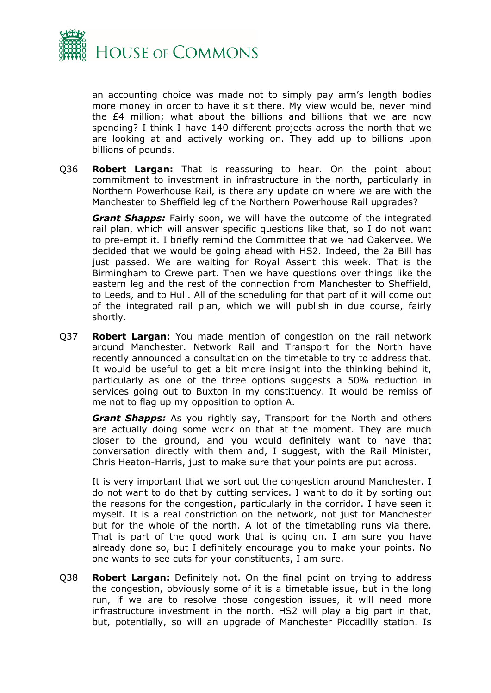

an accounting choice was made not to simply pay arm's length bodies more money in order to have it sit there. My view would be, never mind the £4 million; what about the billions and billions that we are now spending? I think I have 140 different projects across the north that we are looking at and actively working on. They add up to billions upon billions of pounds.

Q36 **Robert Largan:** That is reassuring to hear. On the point about commitment to investment in infrastructure in the north, particularly in Northern Powerhouse Rail, is there any update on where we are with the Manchester to Sheffield leg of the Northern Powerhouse Rail upgrades?

*Grant Shapps:* Fairly soon, we will have the outcome of the integrated rail plan, which will answer specific questions like that, so I do not want to pre-empt it. I briefly remind the Committee that we had Oakervee. We decided that we would be going ahead with HS2. Indeed, the 2a Bill has just passed. We are waiting for Royal Assent this week. That is the Birmingham to Crewe part. Then we have questions over things like the eastern leg and the rest of the connection from Manchester to Sheffield, to Leeds, and to Hull. All of the scheduling for that part of it will come out of the integrated rail plan, which we will publish in due course, fairly shortly.

Q37 **Robert Largan:** You made mention of congestion on the rail network around Manchester. Network Rail and Transport for the North have recently announced a consultation on the timetable to try to address that. It would be useful to get a bit more insight into the thinking behind it, particularly as one of the three options suggests a 50% reduction in services going out to Buxton in my constituency. It would be remiss of me not to flag up my opposition to option A.

*Grant Shapps:* As you rightly say, Transport for the North and others are actually doing some work on that at the moment. They are much closer to the ground, and you would definitely want to have that conversation directly with them and, I suggest, with the Rail Minister, Chris Heaton-Harris, just to make sure that your points are put across.

It is very important that we sort out the congestion around Manchester. I do not want to do that by cutting services. I want to do it by sorting out the reasons for the congestion, particularly in the corridor. I have seen it myself. It is a real constriction on the network, not just for Manchester but for the whole of the north. A lot of the timetabling runs via there. That is part of the good work that is going on. I am sure you have already done so, but I definitely encourage you to make your points. No one wants to see cuts for your constituents, I am sure.

Q38 **Robert Largan:** Definitely not. On the final point on trying to address the congestion, obviously some of it is a timetable issue, but in the long run, if we are to resolve those congestion issues, it will need more infrastructure investment in the north. HS2 will play a big part in that, but, potentially, so will an upgrade of Manchester Piccadilly station. Is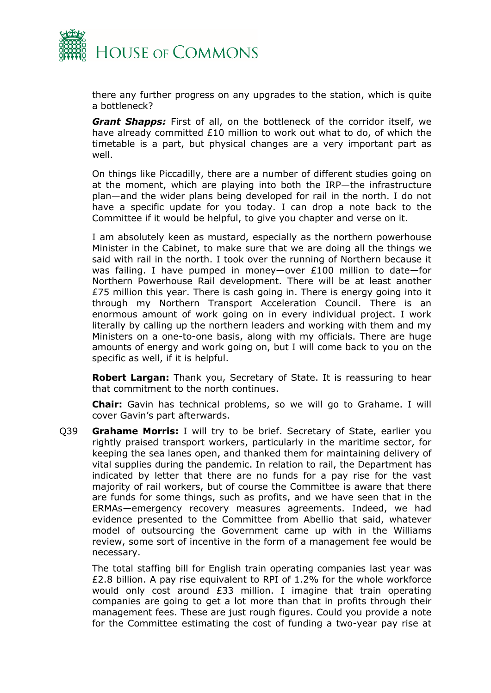

there any further progress on any upgrades to the station, which is quite a bottleneck?

*Grant Shapps:* First of all, on the bottleneck of the corridor itself, we have already committed £10 million to work out what to do, of which the timetable is a part, but physical changes are a very important part as well.

On things like Piccadilly, there are a number of different studies going on at the moment, which are playing into both the IRP—the infrastructure plan—and the wider plans being developed for rail in the north. I do not have a specific update for you today. I can drop a note back to the Committee if it would be helpful, to give you chapter and verse on it.

I am absolutely keen as mustard, especially as the northern powerhouse Minister in the Cabinet, to make sure that we are doing all the things we said with rail in the north. I took over the running of Northern because it was failing. I have pumped in money—over £100 million to date—for Northern Powerhouse Rail development. There will be at least another £75 million this year. There is cash going in. There is energy going into it through my Northern Transport Acceleration Council. There is an enormous amount of work going on in every individual project. I work literally by calling up the northern leaders and working with them and my Ministers on a one-to-one basis, along with my officials. There are huge amounts of energy and work going on, but I will come back to you on the specific as well, if it is helpful.

**Robert Largan:** Thank you, Secretary of State. It is reassuring to hear that commitment to the north continues.

**Chair:** Gavin has technical problems, so we will go to Grahame. I will cover Gavin's part afterwards.

Q39 **Grahame Morris:** I will try to be brief. Secretary of State, earlier you rightly praised transport workers, particularly in the maritime sector, for keeping the sea lanes open, and thanked them for maintaining delivery of vital supplies during the pandemic. In relation to rail, the Department has indicated by letter that there are no funds for a pay rise for the vast majority of rail workers, but of course the Committee is aware that there are funds for some things, such as profits, and we have seen that in the ERMAs—emergency recovery measures agreements. Indeed, we had evidence presented to the Committee from Abellio that said, whatever model of outsourcing the Government came up with in the Williams review, some sort of incentive in the form of a management fee would be necessary.

The total staffing bill for English train operating companies last year was £2.8 billion. A pay rise equivalent to RPI of 1.2% for the whole workforce would only cost around £33 million. I imagine that train operating companies are going to get a lot more than that in profits through their management fees. These are just rough figures. Could you provide a note for the Committee estimating the cost of funding a two-year pay rise at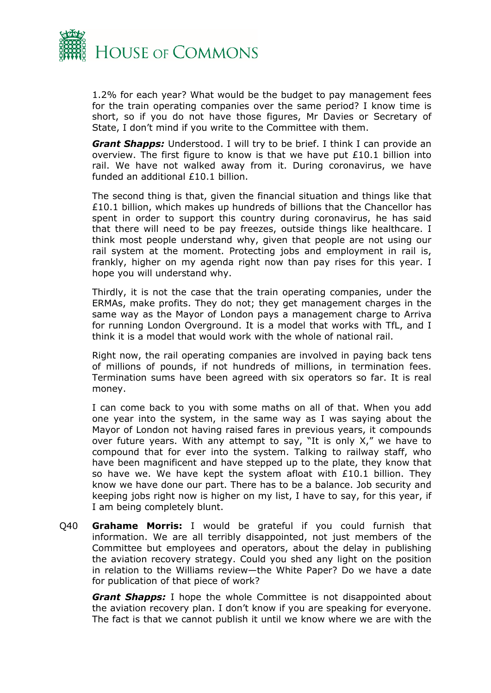

1.2% for each year? What would be the budget to pay management fees for the train operating companies over the same period? I know time is short, so if you do not have those figures, Mr Davies or Secretary of State, I don't mind if you write to the Committee with them.

*Grant Shapps:* Understood. I will try to be brief. I think I can provide an overview. The first figure to know is that we have put £10.1 billion into rail. We have not walked away from it. During coronavirus, we have funded an additional £10.1 billion.

The second thing is that, given the financial situation and things like that £10.1 billion, which makes up hundreds of billions that the Chancellor has spent in order to support this country during coronavirus, he has said that there will need to be pay freezes, outside things like healthcare. I think most people understand why, given that people are not using our rail system at the moment. Protecting jobs and employment in rail is, frankly, higher on my agenda right now than pay rises for this year. I hope you will understand why.

Thirdly, it is not the case that the train operating companies, under the ERMAs, make profits. They do not; they get management charges in the same way as the Mayor of London pays a management charge to Arriva for running London Overground. It is a model that works with TfL, and I think it is a model that would work with the whole of national rail.

Right now, the rail operating companies are involved in paying back tens of millions of pounds, if not hundreds of millions, in termination fees. Termination sums have been agreed with six operators so far. It is real money.

I can come back to you with some maths on all of that. When you add one year into the system, in the same way as I was saying about the Mayor of London not having raised fares in previous years, it compounds over future years. With any attempt to say, "It is only X," we have to compound that for ever into the system. Talking to railway staff, who have been magnificent and have stepped up to the plate, they know that so have we. We have kept the system afloat with £10.1 billion. They know we have done our part. There has to be a balance. Job security and keeping jobs right now is higher on my list, I have to say, for this year, if I am being completely blunt.

Q40 **Grahame Morris:** I would be grateful if you could furnish that information. We are all terribly disappointed, not just members of the Committee but employees and operators, about the delay in publishing the aviation recovery strategy. Could you shed any light on the position in relation to the Williams review—the White Paper? Do we have a date for publication of that piece of work?

*Grant Shapps:* I hope the whole Committee is not disappointed about the aviation recovery plan. I don't know if you are speaking for everyone. The fact is that we cannot publish it until we know where we are with the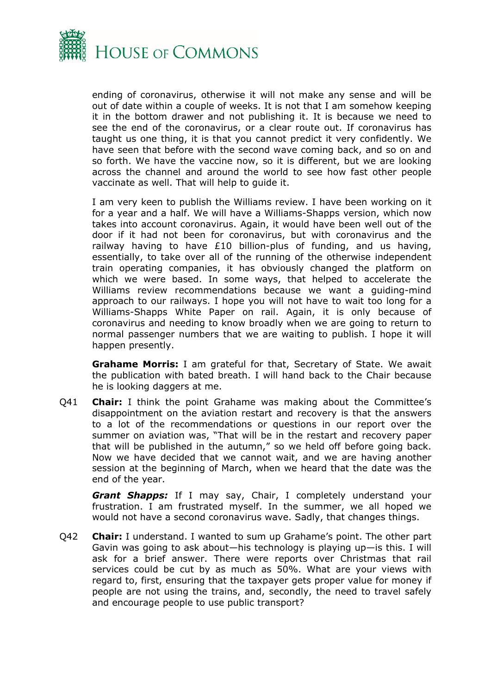

ending of coronavirus, otherwise it will not make any sense and will be out of date within a couple of weeks. It is not that I am somehow keeping it in the bottom drawer and not publishing it. It is because we need to see the end of the coronavirus, or a clear route out. If coronavirus has taught us one thing, it is that you cannot predict it very confidently. We have seen that before with the second wave coming back, and so on and so forth. We have the vaccine now, so it is different, but we are looking across the channel and around the world to see how fast other people vaccinate as well. That will help to guide it.

I am very keen to publish the Williams review. I have been working on it for a year and a half. We will have a Williams-Shapps version, which now takes into account coronavirus. Again, it would have been well out of the door if it had not been for coronavirus, but with coronavirus and the railway having to have £10 billion-plus of funding, and us having, essentially, to take over all of the running of the otherwise independent train operating companies, it has obviously changed the platform on which we were based. In some ways, that helped to accelerate the Williams review recommendations because we want a guiding-mind approach to our railways. I hope you will not have to wait too long for a Williams-Shapps White Paper on rail. Again, it is only because of coronavirus and needing to know broadly when we are going to return to normal passenger numbers that we are waiting to publish. I hope it will happen presently.

**Grahame Morris:** I am grateful for that, Secretary of State. We await the publication with bated breath. I will hand back to the Chair because he is looking daggers at me.

Q41 **Chair:** I think the point Grahame was making about the Committee's disappointment on the aviation restart and recovery is that the answers to a lot of the recommendations or questions in our report over the summer on aviation was, "That will be in the restart and recovery paper that will be published in the autumn," so we held off before going back. Now we have decided that we cannot wait, and we are having another session at the beginning of March, when we heard that the date was the end of the year.

*Grant Shapps:* If I may say, Chair, I completely understand your frustration. I am frustrated myself. In the summer, we all hoped we would not have a second coronavirus wave. Sadly, that changes things.

Q42 **Chair:** I understand. I wanted to sum up Grahame's point. The other part Gavin was going to ask about—his technology is playing up—is this. I will ask for a brief answer. There were reports over Christmas that rail services could be cut by as much as 50%. What are your views with regard to, first, ensuring that the taxpayer gets proper value for money if people are not using the trains, and, secondly, the need to travel safely and encourage people to use public transport?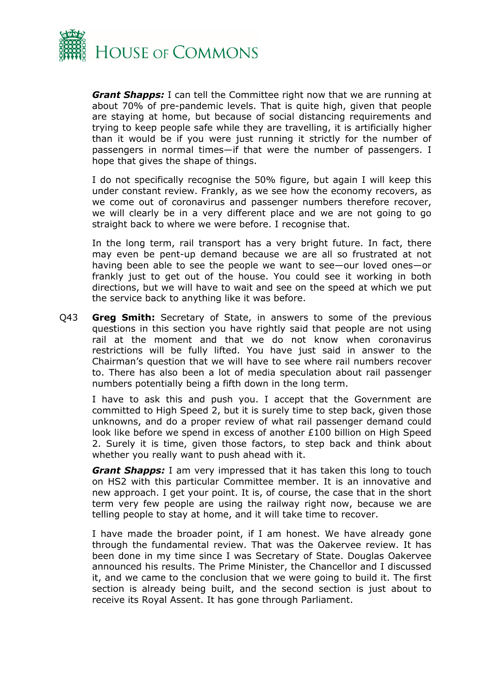

*Grant Shapps:* I can tell the Committee right now that we are running at about 70% of pre-pandemic levels. That is quite high, given that people are staying at home, but because of social distancing requirements and trying to keep people safe while they are travelling, it is artificially higher than it would be if you were just running it strictly for the number of passengers in normal times—if that were the number of passengers. I hope that gives the shape of things.

I do not specifically recognise the 50% figure, but again I will keep this under constant review. Frankly, as we see how the economy recovers, as we come out of coronavirus and passenger numbers therefore recover, we will clearly be in a very different place and we are not going to go straight back to where we were before. I recognise that.

In the long term, rail transport has a very bright future. In fact, there may even be pent-up demand because we are all so frustrated at not having been able to see the people we want to see—our loved ones—or frankly just to get out of the house. You could see it working in both directions, but we will have to wait and see on the speed at which we put the service back to anything like it was before.

Q43 **Greg Smith:** Secretary of State, in answers to some of the previous questions in this section you have rightly said that people are not using rail at the moment and that we do not know when coronavirus restrictions will be fully lifted. You have just said in answer to the Chairman's question that we will have to see where rail numbers recover to. There has also been a lot of media speculation about rail passenger numbers potentially being a fifth down in the long term.

I have to ask this and push you. I accept that the Government are committed to High Speed 2, but it is surely time to step back, given those unknowns, and do a proper review of what rail passenger demand could look like before we spend in excess of another £100 billion on High Speed 2. Surely it is time, given those factors, to step back and think about whether you really want to push ahead with it.

*Grant Shapps:* I am very impressed that it has taken this long to touch on HS2 with this particular Committee member. It is an innovative and new approach. I get your point. It is, of course, the case that in the short term very few people are using the railway right now, because we are telling people to stay at home, and it will take time to recover.

I have made the broader point, if I am honest. We have already gone through the fundamental review. That was the Oakervee review. It has been done in my time since I was Secretary of State. Douglas Oakervee announced his results. The Prime Minister, the Chancellor and I discussed it, and we came to the conclusion that we were going to build it. The first section is already being built, and the second section is just about to receive its Royal Assent. It has gone through Parliament.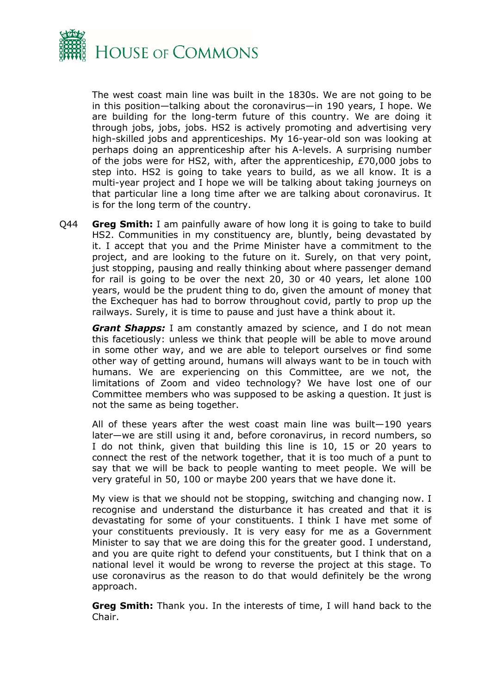

The west coast main line was built in the 1830s. We are not going to be in this position—talking about the coronavirus—in 190 years, I hope. We are building for the long-term future of this country. We are doing it through jobs, jobs, jobs. HS2 is actively promoting and advertising very high-skilled jobs and apprenticeships. My 16-year-old son was looking at perhaps doing an apprenticeship after his A-levels. A surprising number of the jobs were for HS2, with, after the apprenticeship, £70,000 jobs to step into. HS2 is going to take years to build, as we all know. It is a multi-year project and I hope we will be talking about taking journeys on that particular line a long time after we are talking about coronavirus. It is for the long term of the country.

Q44 **Greg Smith:** I am painfully aware of how long it is going to take to build HS2. Communities in my constituency are, bluntly, being devastated by it. I accept that you and the Prime Minister have a commitment to the project, and are looking to the future on it. Surely, on that very point, just stopping, pausing and really thinking about where passenger demand for rail is going to be over the next 20, 30 or 40 years, let alone 100 years, would be the prudent thing to do, given the amount of money that the Exchequer has had to borrow throughout covid, partly to prop up the railways. Surely, it is time to pause and just have a think about it.

*Grant Shapps:* I am constantly amazed by science, and I do not mean this facetiously: unless we think that people will be able to move around in some other way, and we are able to teleport ourselves or find some other way of getting around, humans will always want to be in touch with humans. We are experiencing on this Committee, are we not, the limitations of Zoom and video technology? We have lost one of our Committee members who was supposed to be asking a question. It just is not the same as being together.

All of these years after the west coast main line was built—190 years later—we are still using it and, before coronavirus, in record numbers, so I do not think, given that building this line is 10, 15 or 20 years to connect the rest of the network together, that it is too much of a punt to say that we will be back to people wanting to meet people. We will be very grateful in 50, 100 or maybe 200 years that we have done it.

My view is that we should not be stopping, switching and changing now. I recognise and understand the disturbance it has created and that it is devastating for some of your constituents. I think I have met some of your constituents previously. It is very easy for me as a Government Minister to say that we are doing this for the greater good. I understand, and you are quite right to defend your constituents, but I think that on a national level it would be wrong to reverse the project at this stage. To use coronavirus as the reason to do that would definitely be the wrong approach.

**Greg Smith:** Thank you. In the interests of time, I will hand back to the Chair.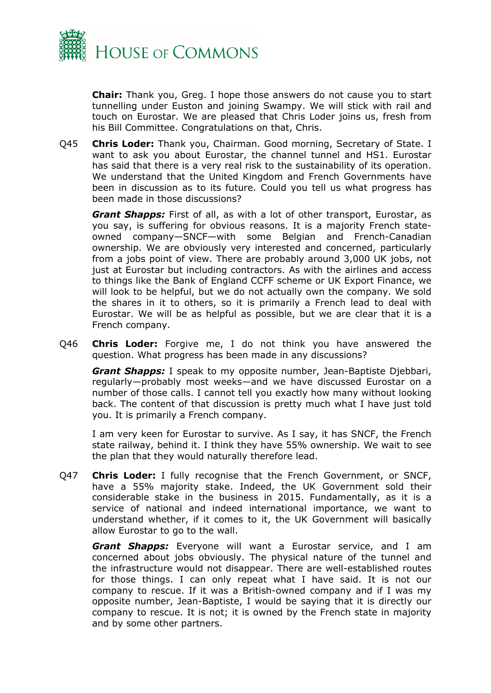

**Chair:** Thank you, Greg. I hope those answers do not cause you to start tunnelling under Euston and joining Swampy. We will stick with rail and touch on Eurostar. We are pleased that Chris Loder joins us, fresh from his Bill Committee. Congratulations on that, Chris.

Q45 **Chris Loder:** Thank you, Chairman. Good morning, Secretary of State. I want to ask you about Eurostar, the channel tunnel and HS1. Eurostar has said that there is a very real risk to the sustainability of its operation. We understand that the United Kingdom and French Governments have been in discussion as to its future. Could you tell us what progress has been made in those discussions?

*Grant Shapps:* First of all, as with a lot of other transport, Eurostar, as you say, is suffering for obvious reasons. It is a majority French stateowned company—SNCF—with some Belgian and French-Canadian ownership. We are obviously very interested and concerned, particularly from a jobs point of view. There are probably around 3,000 UK jobs, not just at Eurostar but including contractors. As with the airlines and access to things like the Bank of England CCFF scheme or UK Export Finance, we will look to be helpful, but we do not actually own the company. We sold the shares in it to others, so it is primarily a French lead to deal with Eurostar. We will be as helpful as possible, but we are clear that it is a French company.

Q46 **Chris Loder:** Forgive me, I do not think you have answered the question. What progress has been made in any discussions?

*Grant Shapps:* I speak to my opposite number, Jean-Baptiste Djebbari, regularly—probably most weeks—and we have discussed Eurostar on a number of those calls. I cannot tell you exactly how many without looking back. The content of that discussion is pretty much what I have just told you. It is primarily a French company.

I am very keen for Eurostar to survive. As I say, it has SNCF, the French state railway, behind it. I think they have 55% ownership. We wait to see the plan that they would naturally therefore lead.

Q47 **Chris Loder:** I fully recognise that the French Government, or SNCF, have a 55% majority stake. Indeed, the UK Government sold their considerable stake in the business in 2015. Fundamentally, as it is a service of national and indeed international importance, we want to understand whether, if it comes to it, the UK Government will basically allow Eurostar to go to the wall.

*Grant Shapps:* Everyone will want a Eurostar service, and I am concerned about jobs obviously. The physical nature of the tunnel and the infrastructure would not disappear. There are well-established routes for those things. I can only repeat what I have said. It is not our company to rescue. If it was a British-owned company and if I was my opposite number, Jean-Baptiste, I would be saying that it is directly our company to rescue. It is not; it is owned by the French state in majority and by some other partners.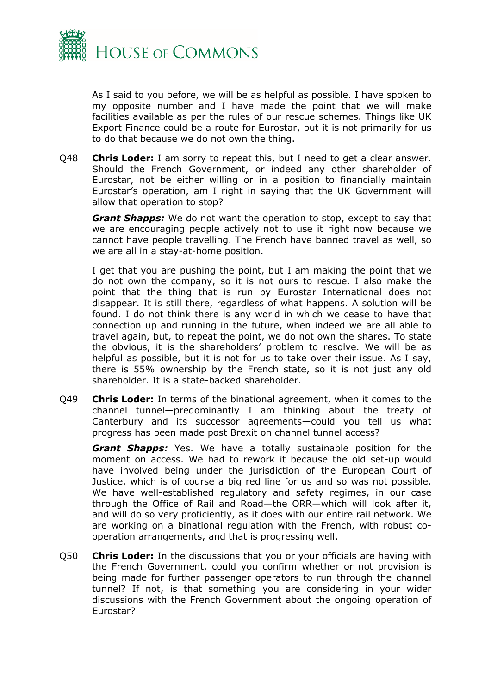

As I said to you before, we will be as helpful as possible. I have spoken to my opposite number and I have made the point that we will make facilities available as per the rules of our rescue schemes. Things like UK Export Finance could be a route for Eurostar, but it is not primarily for us to do that because we do not own the thing.

Q48 **Chris Loder:** I am sorry to repeat this, but I need to get a clear answer. Should the French Government, or indeed any other shareholder of Eurostar, not be either willing or in a position to financially maintain Eurostar's operation, am I right in saying that the UK Government will allow that operation to stop?

*Grant Shapps:* We do not want the operation to stop, except to say that we are encouraging people actively not to use it right now because we cannot have people travelling. The French have banned travel as well, so we are all in a stay-at-home position.

I get that you are pushing the point, but I am making the point that we do not own the company, so it is not ours to rescue. I also make the point that the thing that is run by Eurostar International does not disappear. It is still there, regardless of what happens. A solution will be found. I do not think there is any world in which we cease to have that connection up and running in the future, when indeed we are all able to travel again, but, to repeat the point, we do not own the shares. To state the obvious, it is the shareholders' problem to resolve. We will be as helpful as possible, but it is not for us to take over their issue. As I say, there is 55% ownership by the French state, so it is not just any old shareholder. It is a state-backed shareholder.

Q49 **Chris Loder:** In terms of the binational agreement, when it comes to the channel tunnel—predominantly I am thinking about the treaty of Canterbury and its successor agreements—could you tell us what progress has been made post Brexit on channel tunnel access?

*Grant Shapps:* Yes. We have a totally sustainable position for the moment on access. We had to rework it because the old set-up would have involved being under the jurisdiction of the European Court of Justice, which is of course a big red line for us and so was not possible. We have well-established regulatory and safety regimes, in our case through the Office of Rail and Road—the ORR—which will look after it, and will do so very proficiently, as it does with our entire rail network. We are working on a binational regulation with the French, with robust cooperation arrangements, and that is progressing well.

Q50 **Chris Loder:** In the discussions that you or your officials are having with the French Government, could you confirm whether or not provision is being made for further passenger operators to run through the channel tunnel? If not, is that something you are considering in your wider discussions with the French Government about the ongoing operation of Eurostar?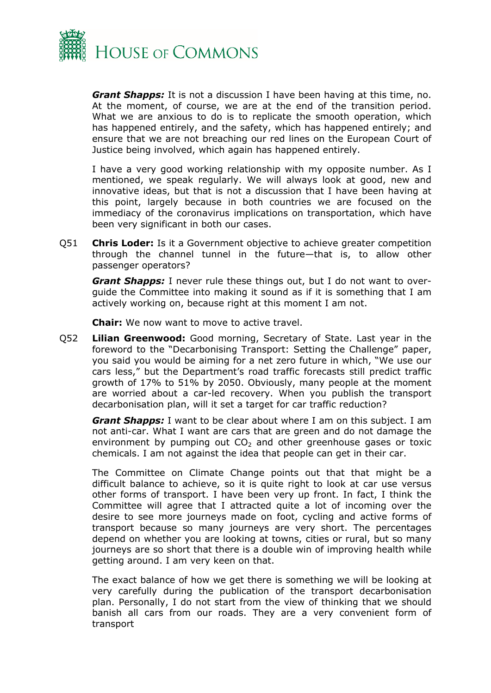

*Grant Shapps:* It is not a discussion I have been having at this time, no. At the moment, of course, we are at the end of the transition period. What we are anxious to do is to replicate the smooth operation, which has happened entirely, and the safety, which has happened entirely; and ensure that we are not breaching our red lines on the European Court of Justice being involved, which again has happened entirely.

I have a very good working relationship with my opposite number. As I mentioned, we speak regularly. We will always look at good, new and innovative ideas, but that is not a discussion that I have been having at this point, largely because in both countries we are focused on the immediacy of the coronavirus implications on transportation, which have been very significant in both our cases.

Q51 **Chris Loder:** Is it a Government objective to achieve greater competition through the channel tunnel in the future—that is, to allow other passenger operators?

*Grant Shapps:* I never rule these things out, but I do not want to overguide the Committee into making it sound as if it is something that I am actively working on, because right at this moment I am not.

**Chair:** We now want to move to active travel.

Q52 **Lilian Greenwood:** Good morning, Secretary of State. Last year in the foreword to the "Decarbonising Transport: Setting the Challenge" paper, you said you would be aiming for a net zero future in which, "We use our cars less," but the Department's road traffic forecasts still predict traffic growth of 17% to 51% by 2050. Obviously, many people at the moment are worried about a car-led recovery. When you publish the transport decarbonisation plan, will it set a target for car traffic reduction?

*Grant Shapps:* I want to be clear about where I am on this subject. I am not anti-car. What I want are cars that are green and do not damage the environment by pumping out  $CO<sub>2</sub>$  and other greenhouse gases or toxic chemicals. I am not against the idea that people can get in their car.

The Committee on Climate Change points out that that might be a difficult balance to achieve, so it is quite right to look at car use versus other forms of transport. I have been very up front. In fact, I think the Committee will agree that I attracted quite a lot of incoming over the desire to see more journeys made on foot, cycling and active forms of transport because so many journeys are very short. The percentages depend on whether you are looking at towns, cities or rural, but so many journeys are so short that there is a double win of improving health while getting around. I am very keen on that.

The exact balance of how we get there is something we will be looking at very carefully during the publication of the transport decarbonisation plan. Personally, I do not start from the view of thinking that we should banish all cars from our roads. They are a very convenient form of transport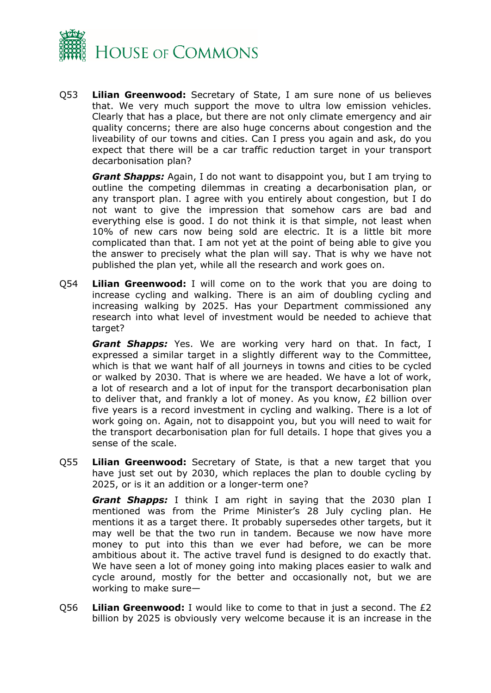

Q53 **Lilian Greenwood:** Secretary of State, I am sure none of us believes that. We very much support the move to ultra low emission vehicles. Clearly that has a place, but there are not only climate emergency and air quality concerns; there are also huge concerns about congestion and the liveability of our towns and cities. Can I press you again and ask, do you expect that there will be a car traffic reduction target in your transport decarbonisation plan?

*Grant Shapps:* Again, I do not want to disappoint you, but I am trying to outline the competing dilemmas in creating a decarbonisation plan, or any transport plan. I agree with you entirely about congestion, but I do not want to give the impression that somehow cars are bad and everything else is good. I do not think it is that simple, not least when 10% of new cars now being sold are electric. It is a little bit more complicated than that. I am not yet at the point of being able to give you the answer to precisely what the plan will say. That is why we have not published the plan yet, while all the research and work goes on.

Q54 **Lilian Greenwood:** I will come on to the work that you are doing to increase cycling and walking. There is an aim of doubling cycling and increasing walking by 2025. Has your Department commissioned any research into what level of investment would be needed to achieve that target?

*Grant Shapps:* Yes. We are working very hard on that. In fact, I expressed a similar target in a slightly different way to the Committee, which is that we want half of all journeys in towns and cities to be cycled or walked by 2030. That is where we are headed. We have a lot of work, a lot of research and a lot of input for the transport decarbonisation plan to deliver that, and frankly a lot of money. As you know, £2 billion over five years is a record investment in cycling and walking. There is a lot of work going on. Again, not to disappoint you, but you will need to wait for the transport decarbonisation plan for full details. I hope that gives you a sense of the scale.

Q55 **Lilian Greenwood:** Secretary of State, is that a new target that you have just set out by 2030, which replaces the plan to double cycling by 2025, or is it an addition or a longer-term one?

*Grant Shapps:* I think I am right in saying that the 2030 plan I mentioned was from the Prime Minister's 28 July cycling plan. He mentions it as a target there. It probably supersedes other targets, but it may well be that the two run in tandem. Because we now have more money to put into this than we ever had before, we can be more ambitious about it. The active travel fund is designed to do exactly that. We have seen a lot of money going into making places easier to walk and cycle around, mostly for the better and occasionally not, but we are working to make sure—

Q56 **Lilian Greenwood:** I would like to come to that in just a second. The £2 billion by 2025 is obviously very welcome because it is an increase in the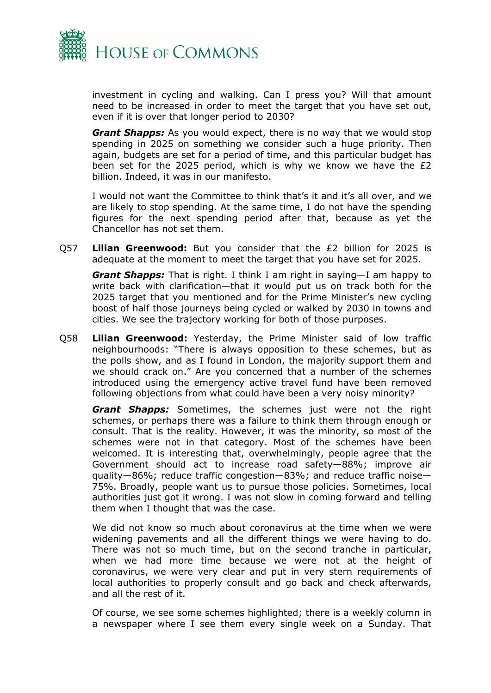

investment in cycling and walking. Can I press you? Will that amount need to be increased in order to meet the target that you have set out, even if it is over that longer period to 2030?

*Grant Shapps:* As you would expect, there is no way that we would stop spending in 2025 on something we consider such a huge priority. Then again, budgets are set for a period of time, and this particular budget has been set for the 2025 period, which is why we know we have the £2 billion. Indeed, it was in our manifesto.

I would not want the Committee to think that's it and it's all over, and we are likely to stop spending. At the same time, I do not have the spending figures for the next spending period after that, because as yet the Chancellor has not set them.

Q57 **Lilian Greenwood:** But you consider that the £2 billion for 2025 is adequate at the moment to meet the target that you have set for 2025.

*Grant Shapps:* That is right. I think I am right in saying—I am happy to write back with clarification—that it would put us on track both for the 2025 target that you mentioned and for the Prime Minister's new cycling boost of half those journeys being cycled or walked by 2030 in towns and cities. We see the trajectory working for both of those purposes.

Q58 **Lilian Greenwood:** Yesterday, the Prime Minister said of low traffic neighbourhoods: "There is always opposition to these schemes, but as the polls show, and as I found in London, the majority support them and we should crack on." Are you concerned that a number of the schemes introduced using the emergency active travel fund have been removed following objections from what could have been a very noisy minority?

*Grant Shapps:* Sometimes, the schemes just were not the right schemes, or perhaps there was a failure to think them through enough or consult. That is the reality. However, it was the minority, so most of the schemes were not in that category. Most of the schemes have been welcomed. It is interesting that, overwhelmingly, people agree that the Government should act to increase road safety—88%; improve air quality—86%; reduce traffic congestion—83%; and reduce traffic noise— 75%. Broadly, people want us to pursue those policies. Sometimes, local authorities just got it wrong. I was not slow in coming forward and telling them when I thought that was the case.

We did not know so much about coronavirus at the time when we were widening pavements and all the different things we were having to do. There was not so much time, but on the second tranche in particular, when we had more time because we were not at the height of coronavirus, we were very clear and put in very stern requirements of local authorities to properly consult and go back and check afterwards, and all the rest of it.

Of course, we see some schemes highlighted; there is a weekly column in a newspaper where I see them every single week on a Sunday. That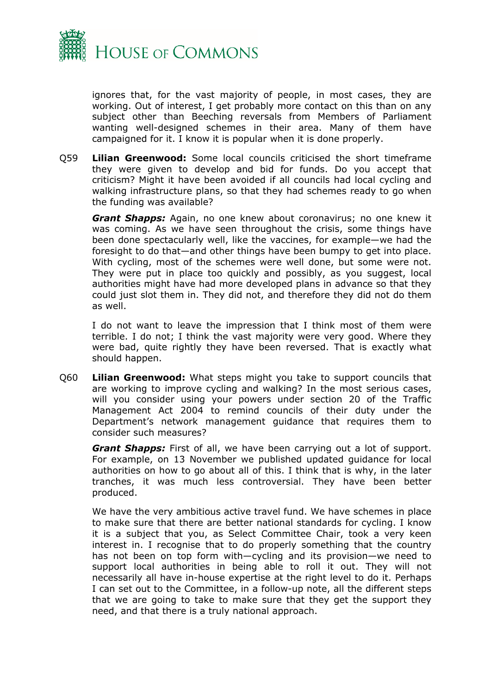

ignores that, for the vast majority of people, in most cases, they are working. Out of interest, I get probably more contact on this than on any subject other than Beeching reversals from Members of Parliament wanting well-designed schemes in their area. Many of them have campaigned for it. I know it is popular when it is done properly.

Q59 **Lilian Greenwood:** Some local councils criticised the short timeframe they were given to develop and bid for funds. Do you accept that criticism? Might it have been avoided if all councils had local cycling and walking infrastructure plans, so that they had schemes ready to go when the funding was available?

*Grant Shapps:* Again, no one knew about coronavirus; no one knew it was coming. As we have seen throughout the crisis, some things have been done spectacularly well, like the vaccines, for example—we had the foresight to do that—and other things have been bumpy to get into place. With cycling, most of the schemes were well done, but some were not. They were put in place too quickly and possibly, as you suggest, local authorities might have had more developed plans in advance so that they could just slot them in. They did not, and therefore they did not do them as well.

I do not want to leave the impression that I think most of them were terrible. I do not; I think the vast majority were very good. Where they were bad, quite rightly they have been reversed. That is exactly what should happen.

Q60 **Lilian Greenwood:** What steps might you take to support councils that are working to improve cycling and walking? In the most serious cases, will you consider using your powers under section 20 of the Traffic Management Act 2004 to remind councils of their duty under the Department's network management guidance that requires them to consider such measures?

*Grant Shapps:* First of all, we have been carrying out a lot of support. For example, on 13 November we published updated guidance for local authorities on how to go about all of this. I think that is why, in the later tranches, it was much less controversial. They have been better produced.

We have the very ambitious active travel fund. We have schemes in place to make sure that there are better national standards for cycling. I know it is a subject that you, as Select Committee Chair, took a very keen interest in. I recognise that to do properly something that the country has not been on top form with—cycling and its provision—we need to support local authorities in being able to roll it out. They will not necessarily all have in-house expertise at the right level to do it. Perhaps I can set out to the Committee, in a follow-up note, all the different steps that we are going to take to make sure that they get the support they need, and that there is a truly national approach.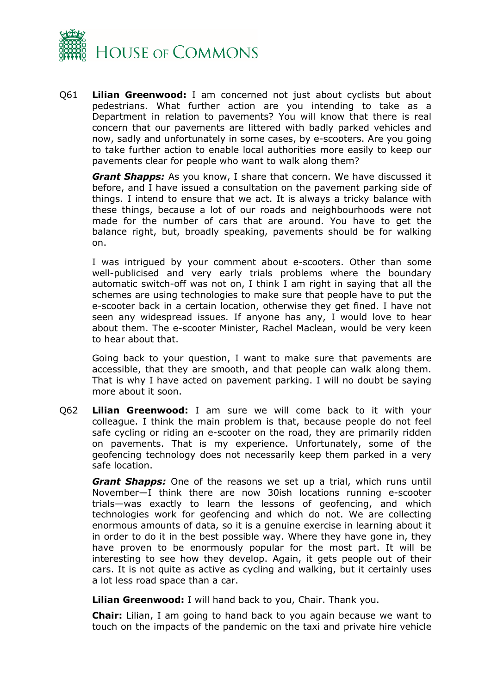

Q61 **Lilian Greenwood:** I am concerned not just about cyclists but about pedestrians. What further action are you intending to take as a Department in relation to pavements? You will know that there is real concern that our pavements are littered with badly parked vehicles and now, sadly and unfortunately in some cases, by e-scooters. Are you going to take further action to enable local authorities more easily to keep our pavements clear for people who want to walk along them?

*Grant Shapps:* As you know, I share that concern. We have discussed it before, and I have issued a consultation on the pavement parking side of things. I intend to ensure that we act. It is always a tricky balance with these things, because a lot of our roads and neighbourhoods were not made for the number of cars that are around. You have to get the balance right, but, broadly speaking, pavements should be for walking on.

I was intrigued by your comment about e-scooters. Other than some well-publicised and very early trials problems where the boundary automatic switch-off was not on, I think I am right in saying that all the schemes are using technologies to make sure that people have to put the e-scooter back in a certain location, otherwise they get fined. I have not seen any widespread issues. If anyone has any, I would love to hear about them. The e-scooter Minister, Rachel Maclean, would be very keen to hear about that.

Going back to your question, I want to make sure that pavements are accessible, that they are smooth, and that people can walk along them. That is why I have acted on pavement parking. I will no doubt be saying more about it soon.

Q62 **Lilian Greenwood:** I am sure we will come back to it with your colleague. I think the main problem is that, because people do not feel safe cycling or riding an e-scooter on the road, they are primarily ridden on pavements. That is my experience. Unfortunately, some of the geofencing technology does not necessarily keep them parked in a very safe location.

*Grant Shapps:* One of the reasons we set up a trial, which runs until November—I think there are now 30ish locations running e-scooter trials—was exactly to learn the lessons of geofencing, and which technologies work for geofencing and which do not. We are collecting enormous amounts of data, so it is a genuine exercise in learning about it in order to do it in the best possible way. Where they have gone in, they have proven to be enormously popular for the most part. It will be interesting to see how they develop. Again, it gets people out of their cars. It is not quite as active as cycling and walking, but it certainly uses a lot less road space than a car.

**Lilian Greenwood:** I will hand back to you, Chair. Thank you.

**Chair:** Lilian, I am going to hand back to you again because we want to touch on the impacts of the pandemic on the taxi and private hire vehicle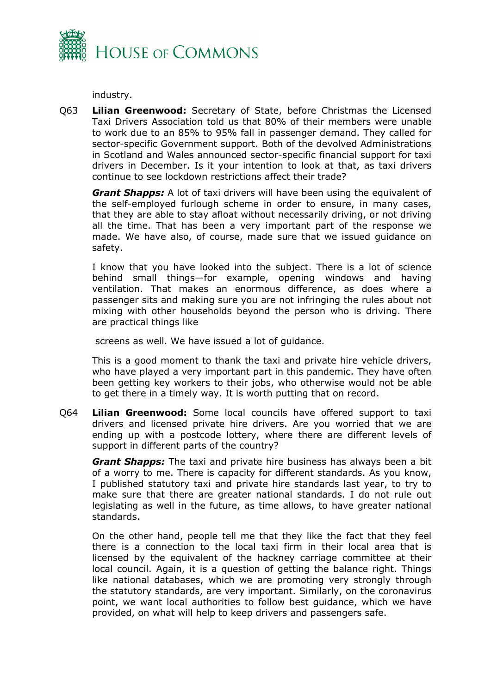

industry.

Q63 **Lilian Greenwood:** Secretary of State, before Christmas the Licensed Taxi Drivers Association told us that 80% of their members were unable to work due to an 85% to 95% fall in passenger demand. They called for sector-specific Government support. Both of the devolved Administrations in Scotland and Wales announced sector-specific financial support for taxi drivers in December. Is it your intention to look at that, as taxi drivers continue to see lockdown restrictions affect their trade?

*Grant Shapps:* A lot of taxi drivers will have been using the equivalent of the self-employed furlough scheme in order to ensure, in many cases, that they are able to stay afloat without necessarily driving, or not driving all the time. That has been a very important part of the response we made. We have also, of course, made sure that we issued guidance on safety.

I know that you have looked into the subject. There is a lot of science behind small things—for example, opening windows and having ventilation. That makes an enormous difference, as does where a passenger sits and making sure you are not infringing the rules about not mixing with other households beyond the person who is driving. There are practical things like

screens as well. We have issued a lot of guidance.

This is a good moment to thank the taxi and private hire vehicle drivers, who have played a very important part in this pandemic. They have often been getting key workers to their jobs, who otherwise would not be able to get there in a timely way. It is worth putting that on record.

Q64 **Lilian Greenwood:** Some local councils have offered support to taxi drivers and licensed private hire drivers. Are you worried that we are ending up with a postcode lottery, where there are different levels of support in different parts of the country?

*Grant Shapps:* The taxi and private hire business has always been a bit of a worry to me. There is capacity for different standards. As you know, I published statutory taxi and private hire standards last year, to try to make sure that there are greater national standards. I do not rule out legislating as well in the future, as time allows, to have greater national standards.

On the other hand, people tell me that they like the fact that they feel there is a connection to the local taxi firm in their local area that is licensed by the equivalent of the hackney carriage committee at their local council. Again, it is a question of getting the balance right. Things like national databases, which we are promoting very strongly through the statutory standards, are very important. Similarly, on the coronavirus point, we want local authorities to follow best guidance, which we have provided, on what will help to keep drivers and passengers safe.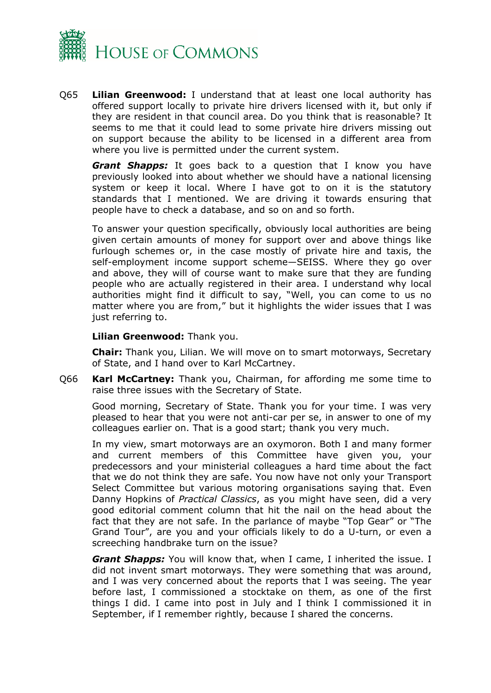

Q65 **Lilian Greenwood:** I understand that at least one local authority has offered support locally to private hire drivers licensed with it, but only if they are resident in that council area. Do you think that is reasonable? It seems to me that it could lead to some private hire drivers missing out on support because the ability to be licensed in a different area from where you live is permitted under the current system.

*Grant Shapps:* It goes back to a question that I know you have previously looked into about whether we should have a national licensing system or keep it local. Where I have got to on it is the statutory standards that I mentioned. We are driving it towards ensuring that people have to check a database, and so on and so forth.

To answer your question specifically, obviously local authorities are being given certain amounts of money for support over and above things like furlough schemes or, in the case mostly of private hire and taxis, the self-employment income support scheme—SEISS. Where they go over and above, they will of course want to make sure that they are funding people who are actually registered in their area. I understand why local authorities might find it difficult to say, "Well, you can come to us no matter where you are from," but it highlights the wider issues that I was just referring to.

**Lilian Greenwood:** Thank you.

**Chair:** Thank you, Lilian. We will move on to smart motorways, Secretary of State, and I hand over to Karl McCartney.

Q66 **Karl McCartney:** Thank you, Chairman, for affording me some time to raise three issues with the Secretary of State.

Good morning, Secretary of State. Thank you for your time. I was very pleased to hear that you were not anti-car per se, in answer to one of my colleagues earlier on. That is a good start; thank you very much.

In my view, smart motorways are an oxymoron. Both I and many former and current members of this Committee have given you, your predecessors and your ministerial colleagues a hard time about the fact that we do not think they are safe. You now have not only your Transport Select Committee but various motoring organisations saying that. Even Danny Hopkins of *Practical Classics*, as you might have seen, did a very good editorial comment column that hit the nail on the head about the fact that they are not safe. In the parlance of maybe "Top Gear" or "The Grand Tour", are you and your officials likely to do a U-turn, or even a screeching handbrake turn on the issue?

*Grant Shapps:* You will know that, when I came, I inherited the issue. I did not invent smart motorways. They were something that was around, and I was very concerned about the reports that I was seeing. The year before last, I commissioned a stocktake on them, as one of the first things I did. I came into post in July and I think I commissioned it in September, if I remember rightly, because I shared the concerns.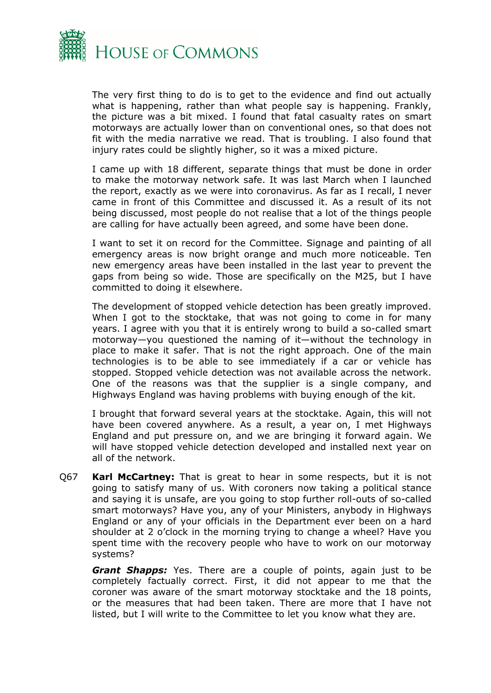

The very first thing to do is to get to the evidence and find out actually what is happening, rather than what people say is happening. Frankly, the picture was a bit mixed. I found that fatal casualty rates on smart motorways are actually lower than on conventional ones, so that does not fit with the media narrative we read. That is troubling. I also found that injury rates could be slightly higher, so it was a mixed picture.

I came up with 18 different, separate things that must be done in order to make the motorway network safe. It was last March when I launched the report, exactly as we were into coronavirus. As far as I recall, I never came in front of this Committee and discussed it. As a result of its not being discussed, most people do not realise that a lot of the things people are calling for have actually been agreed, and some have been done.

I want to set it on record for the Committee. Signage and painting of all emergency areas is now bright orange and much more noticeable. Ten new emergency areas have been installed in the last year to prevent the gaps from being so wide. Those are specifically on the M25, but I have committed to doing it elsewhere.

The development of stopped vehicle detection has been greatly improved. When I got to the stocktake, that was not going to come in for many years. I agree with you that it is entirely wrong to build a so-called smart motorway—you questioned the naming of it—without the technology in place to make it safer. That is not the right approach. One of the main technologies is to be able to see immediately if a car or vehicle has stopped. Stopped vehicle detection was not available across the network. One of the reasons was that the supplier is a single company, and Highways England was having problems with buying enough of the kit.

I brought that forward several years at the stocktake. Again, this will not have been covered anywhere. As a result, a year on, I met Highways England and put pressure on, and we are bringing it forward again. We will have stopped vehicle detection developed and installed next year on all of the network.

Q67 **Karl McCartney:** That is great to hear in some respects, but it is not going to satisfy many of us. With coroners now taking a political stance and saying it is unsafe, are you going to stop further roll-outs of so-called smart motorways? Have you, any of your Ministers, anybody in Highways England or any of your officials in the Department ever been on a hard shoulder at 2 o'clock in the morning trying to change a wheel? Have you spent time with the recovery people who have to work on our motorway systems?

*Grant Shapps:* Yes. There are a couple of points, again just to be completely factually correct. First, it did not appear to me that the coroner was aware of the smart motorway stocktake and the 18 points, or the measures that had been taken. There are more that I have not listed, but I will write to the Committee to let you know what they are.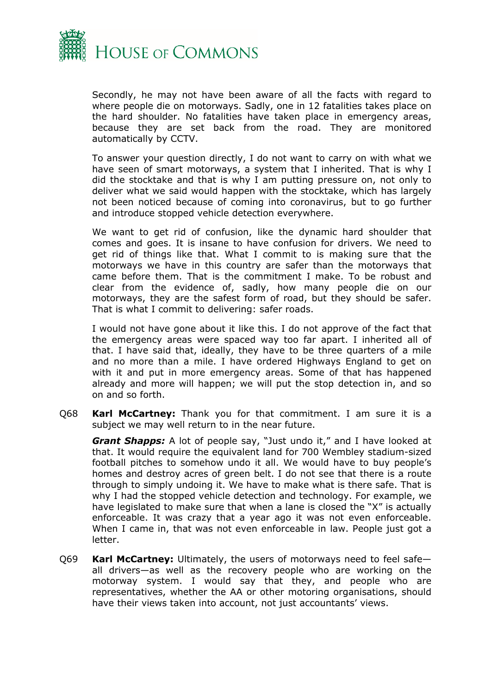

Secondly, he may not have been aware of all the facts with regard to where people die on motorways. Sadly, one in 12 fatalities takes place on the hard shoulder. No fatalities have taken place in emergency areas, because they are set back from the road. They are monitored automatically by CCTV.

To answer your question directly, I do not want to carry on with what we have seen of smart motorways, a system that I inherited. That is why I did the stocktake and that is why I am putting pressure on, not only to deliver what we said would happen with the stocktake, which has largely not been noticed because of coming into coronavirus, but to go further and introduce stopped vehicle detection everywhere.

We want to get rid of confusion, like the dynamic hard shoulder that comes and goes. It is insane to have confusion for drivers. We need to get rid of things like that. What I commit to is making sure that the motorways we have in this country are safer than the motorways that came before them. That is the commitment I make. To be robust and clear from the evidence of, sadly, how many people die on our motorways, they are the safest form of road, but they should be safer. That is what I commit to delivering: safer roads.

I would not have gone about it like this. I do not approve of the fact that the emergency areas were spaced way too far apart. I inherited all of that. I have said that, ideally, they have to be three quarters of a mile and no more than a mile. I have ordered Highways England to get on with it and put in more emergency areas. Some of that has happened already and more will happen; we will put the stop detection in, and so on and so forth.

Q68 **Karl McCartney:** Thank you for that commitment. I am sure it is a subject we may well return to in the near future.

*Grant Shapps:* A lot of people say, "Just undo it," and I have looked at that. It would require the equivalent land for 700 Wembley stadium-sized football pitches to somehow undo it all. We would have to buy people's homes and destroy acres of green belt. I do not see that there is a route through to simply undoing it. We have to make what is there safe. That is why I had the stopped vehicle detection and technology. For example, we have legislated to make sure that when a lane is closed the "X" is actually enforceable. It was crazy that a year ago it was not even enforceable. When I came in, that was not even enforceable in law. People just got a letter.

Q69 **Karl McCartney:** Ultimately, the users of motorways need to feel safe all drivers—as well as the recovery people who are working on the motorway system. I would say that they, and people who are representatives, whether the AA or other motoring organisations, should have their views taken into account, not just accountants' views.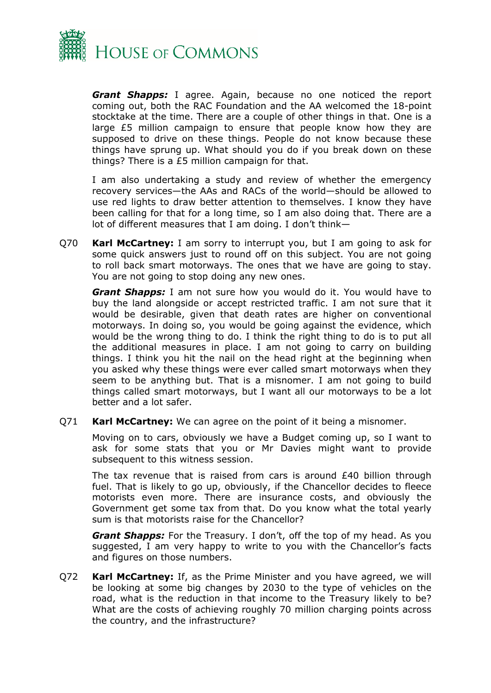

*Grant Shapps:* I agree. Again, because no one noticed the report coming out, both the RAC Foundation and the AA welcomed the 18-point stocktake at the time. There are a couple of other things in that. One is a large £5 million campaign to ensure that people know how they are supposed to drive on these things. People do not know because these things have sprung up. What should you do if you break down on these things? There is a £5 million campaign for that.

I am also undertaking a study and review of whether the emergency recovery services—the AAs and RACs of the world—should be allowed to use red lights to draw better attention to themselves. I know they have been calling for that for a long time, so I am also doing that. There are a lot of different measures that I am doing. I don't think—

Q70 **Karl McCartney:** I am sorry to interrupt you, but I am going to ask for some quick answers just to round off on this subject. You are not going to roll back smart motorways. The ones that we have are going to stay. You are not going to stop doing any new ones.

*Grant Shapps:* I am not sure how you would do it. You would have to buy the land alongside or accept restricted traffic. I am not sure that it would be desirable, given that death rates are higher on conventional motorways. In doing so, you would be going against the evidence, which would be the wrong thing to do. I think the right thing to do is to put all the additional measures in place. I am not going to carry on building things. I think you hit the nail on the head right at the beginning when you asked why these things were ever called smart motorways when they seem to be anything but. That is a misnomer. I am not going to build things called smart motorways, but I want all our motorways to be a lot better and a lot safer.

Q71 **Karl McCartney:** We can agree on the point of it being a misnomer.

Moving on to cars, obviously we have a Budget coming up, so I want to ask for some stats that you or Mr Davies might want to provide subsequent to this witness session.

The tax revenue that is raised from cars is around  $£40$  billion through fuel. That is likely to go up, obviously, if the Chancellor decides to fleece motorists even more. There are insurance costs, and obviously the Government get some tax from that. Do you know what the total yearly sum is that motorists raise for the Chancellor?

*Grant Shapps:* For the Treasury. I don't, off the top of my head. As you suggested, I am very happy to write to you with the Chancellor's facts and figures on those numbers.

Q72 **Karl McCartney:** If, as the Prime Minister and you have agreed, we will be looking at some big changes by 2030 to the type of vehicles on the road, what is the reduction in that income to the Treasury likely to be? What are the costs of achieving roughly 70 million charging points across the country, and the infrastructure?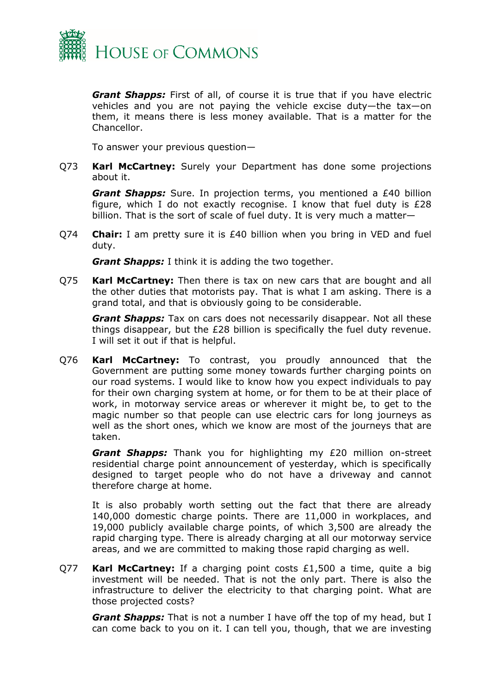

*Grant Shapps:* First of all, of course it is true that if you have electric vehicles and you are not paying the vehicle excise duty—the tax—on them, it means there is less money available. That is a matter for the Chancellor.

To answer your previous question—

Q73 **Karl McCartney:** Surely your Department has done some projections about it.

*Grant Shapps:* Sure. In projection terms, you mentioned a £40 billion figure, which I do not exactly recognise. I know that fuel duty is £28 billion. That is the sort of scale of fuel duty. It is very much a matter—

Q74 **Chair:** I am pretty sure it is £40 billion when you bring in VED and fuel duty.

*Grant Shapps:* I think it is adding the two together.

Q75 **Karl McCartney:** Then there is tax on new cars that are bought and all the other duties that motorists pay. That is what I am asking. There is a grand total, and that is obviously going to be considerable.

*Grant Shapps:* Tax on cars does not necessarily disappear. Not all these things disappear, but the £28 billion is specifically the fuel duty revenue. I will set it out if that is helpful.

Q76 **Karl McCartney:** To contrast, you proudly announced that the Government are putting some money towards further charging points on our road systems. I would like to know how you expect individuals to pay for their own charging system at home, or for them to be at their place of work, in motorway service areas or wherever it might be, to get to the magic number so that people can use electric cars for long journeys as well as the short ones, which we know are most of the journeys that are taken.

*Grant Shapps:* Thank you for highlighting my £20 million on-street residential charge point announcement of yesterday, which is specifically designed to target people who do not have a driveway and cannot therefore charge at home.

It is also probably worth setting out the fact that there are already 140,000 domestic charge points. There are 11,000 in workplaces, and 19,000 publicly available charge points, of which 3,500 are already the rapid charging type. There is already charging at all our motorway service areas, and we are committed to making those rapid charging as well.

Q77 **Karl McCartney:** If a charging point costs £1,500 a time, quite a big investment will be needed. That is not the only part. There is also the infrastructure to deliver the electricity to that charging point. What are those projected costs?

*Grant Shapps:* That is not a number I have off the top of my head, but I can come back to you on it. I can tell you, though, that we are investing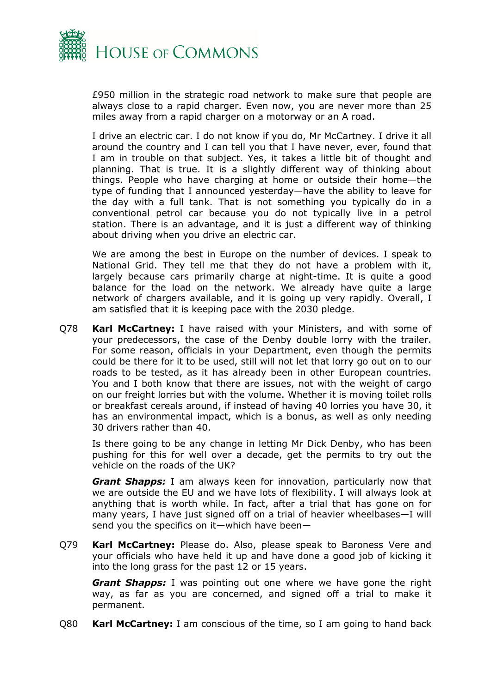

£950 million in the strategic road network to make sure that people are always close to a rapid charger. Even now, you are never more than 25 miles away from a rapid charger on a motorway or an A road.

I drive an electric car. I do not know if you do, Mr McCartney. I drive it all around the country and I can tell you that I have never, ever, found that I am in trouble on that subject. Yes, it takes a little bit of thought and planning. That is true. It is a slightly different way of thinking about things. People who have charging at home or outside their home—the type of funding that I announced yesterday—have the ability to leave for the day with a full tank. That is not something you typically do in a conventional petrol car because you do not typically live in a petrol station. There is an advantage, and it is just a different way of thinking about driving when you drive an electric car.

We are among the best in Europe on the number of devices. I speak to National Grid. They tell me that they do not have a problem with it, largely because cars primarily charge at night-time. It is quite a good balance for the load on the network. We already have quite a large network of chargers available, and it is going up very rapidly. Overall, I am satisfied that it is keeping pace with the 2030 pledge.

Q78 **Karl McCartney:** I have raised with your Ministers, and with some of your predecessors, the case of the Denby double lorry with the trailer. For some reason, officials in your Department, even though the permits could be there for it to be used, still will not let that lorry go out on to our roads to be tested, as it has already been in other European countries. You and I both know that there are issues, not with the weight of cargo on our freight lorries but with the volume. Whether it is moving toilet rolls or breakfast cereals around, if instead of having 40 lorries you have 30, it has an environmental impact, which is a bonus, as well as only needing 30 drivers rather than 40.

Is there going to be any change in letting Mr Dick Denby, who has been pushing for this for well over a decade, get the permits to try out the vehicle on the roads of the UK?

*Grant Shapps:* I am always keen for innovation, particularly now that we are outside the EU and we have lots of flexibility. I will always look at anything that is worth while. In fact, after a trial that has gone on for many years, I have just signed off on a trial of heavier wheelbases—I will send you the specifics on it—which have been—

Q79 **Karl McCartney:** Please do. Also, please speak to Baroness Vere and your officials who have held it up and have done a good job of kicking it into the long grass for the past 12 or 15 years.

*Grant Shapps:* I was pointing out one where we have gone the right way, as far as you are concerned, and signed off a trial to make it permanent.

Q80 **Karl McCartney:** I am conscious of the time, so I am going to hand back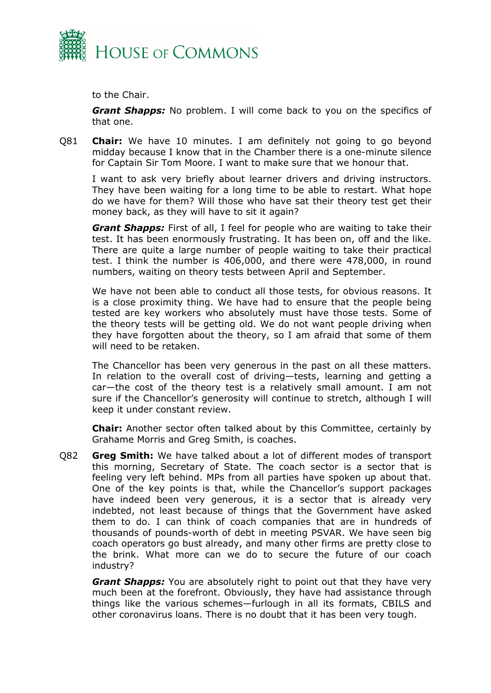

to the Chair.

*Grant Shapps:* No problem. I will come back to you on the specifics of that one.

Q81 **Chair:** We have 10 minutes. I am definitely not going to go beyond midday because I know that in the Chamber there is a one-minute silence for Captain Sir Tom Moore. I want to make sure that we honour that.

I want to ask very briefly about learner drivers and driving instructors. They have been waiting for a long time to be able to restart. What hope do we have for them? Will those who have sat their theory test get their money back, as they will have to sit it again?

*Grant Shapps:* First of all, I feel for people who are waiting to take their test. It has been enormously frustrating. It has been on, off and the like. There are quite a large number of people waiting to take their practical test. I think the number is 406,000, and there were 478,000, in round numbers, waiting on theory tests between April and September.

We have not been able to conduct all those tests, for obvious reasons. It is a close proximity thing. We have had to ensure that the people being tested are key workers who absolutely must have those tests. Some of the theory tests will be getting old. We do not want people driving when they have forgotten about the theory, so I am afraid that some of them will need to be retaken.

The Chancellor has been very generous in the past on all these matters. In relation to the overall cost of driving—tests, learning and getting a car—the cost of the theory test is a relatively small amount. I am not sure if the Chancellor's generosity will continue to stretch, although I will keep it under constant review.

**Chair:** Another sector often talked about by this Committee, certainly by Grahame Morris and Greg Smith, is coaches.

Q82 **Greg Smith:** We have talked about a lot of different modes of transport this morning, Secretary of State. The coach sector is a sector that is feeling very left behind. MPs from all parties have spoken up about that. One of the key points is that, while the Chancellor's support packages have indeed been very generous, it is a sector that is already very indebted, not least because of things that the Government have asked them to do. I can think of coach companies that are in hundreds of thousands of pounds-worth of debt in meeting PSVAR. We have seen big coach operators go bust already, and many other firms are pretty close to the brink. What more can we do to secure the future of our coach industry?

*Grant Shapps:* You are absolutely right to point out that they have very much been at the forefront. Obviously, they have had assistance through things like the various schemes—furlough in all its formats, CBILS and other coronavirus loans. There is no doubt that it has been very tough.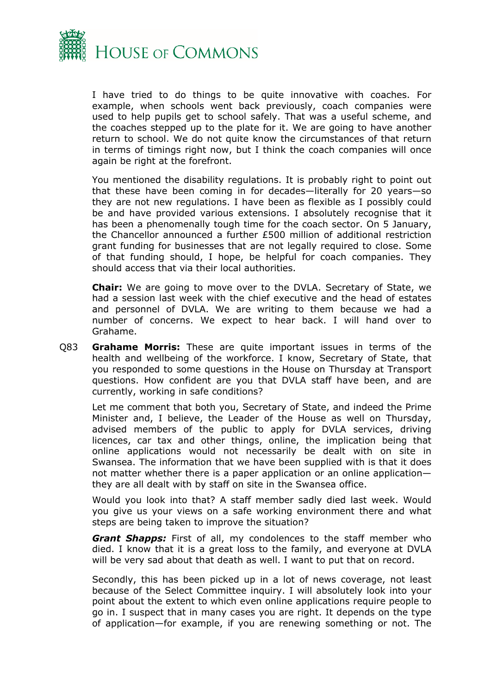

I have tried to do things to be quite innovative with coaches. For example, when schools went back previously, coach companies were used to help pupils get to school safely. That was a useful scheme, and the coaches stepped up to the plate for it. We are going to have another return to school. We do not quite know the circumstances of that return in terms of timings right now, but I think the coach companies will once again be right at the forefront.

You mentioned the disability regulations. It is probably right to point out that these have been coming in for decades—literally for 20 years—so they are not new regulations. I have been as flexible as I possibly could be and have provided various extensions. I absolutely recognise that it has been a phenomenally tough time for the coach sector. On 5 January, the Chancellor announced a further £500 million of additional restriction grant funding for businesses that are not legally required to close. Some of that funding should, I hope, be helpful for coach companies. They should access that via their local authorities.

**Chair:** We are going to move over to the DVLA. Secretary of State, we had a session last week with the chief executive and the head of estates and personnel of DVLA. We are writing to them because we had a number of concerns. We expect to hear back. I will hand over to Grahame.

Q83 **Grahame Morris:** These are quite important issues in terms of the health and wellbeing of the workforce. I know, Secretary of State, that you responded to some questions in the House on Thursday at Transport questions. How confident are you that DVLA staff have been, and are currently, working in safe conditions?

Let me comment that both you, Secretary of State, and indeed the Prime Minister and, I believe, the Leader of the House as well on Thursday, advised members of the public to apply for DVLA services, driving licences, car tax and other things, online, the implication being that online applications would not necessarily be dealt with on site in Swansea. The information that we have been supplied with is that it does not matter whether there is a paper application or an online application they are all dealt with by staff on site in the Swansea office.

Would you look into that? A staff member sadly died last week. Would you give us your views on a safe working environment there and what steps are being taken to improve the situation?

*Grant Shapps:* First of all, my condolences to the staff member who died. I know that it is a great loss to the family, and everyone at DVLA will be very sad about that death as well. I want to put that on record.

Secondly, this has been picked up in a lot of news coverage, not least because of the Select Committee inquiry. I will absolutely look into your point about the extent to which even online applications require people to go in. I suspect that in many cases you are right. It depends on the type of application—for example, if you are renewing something or not. The